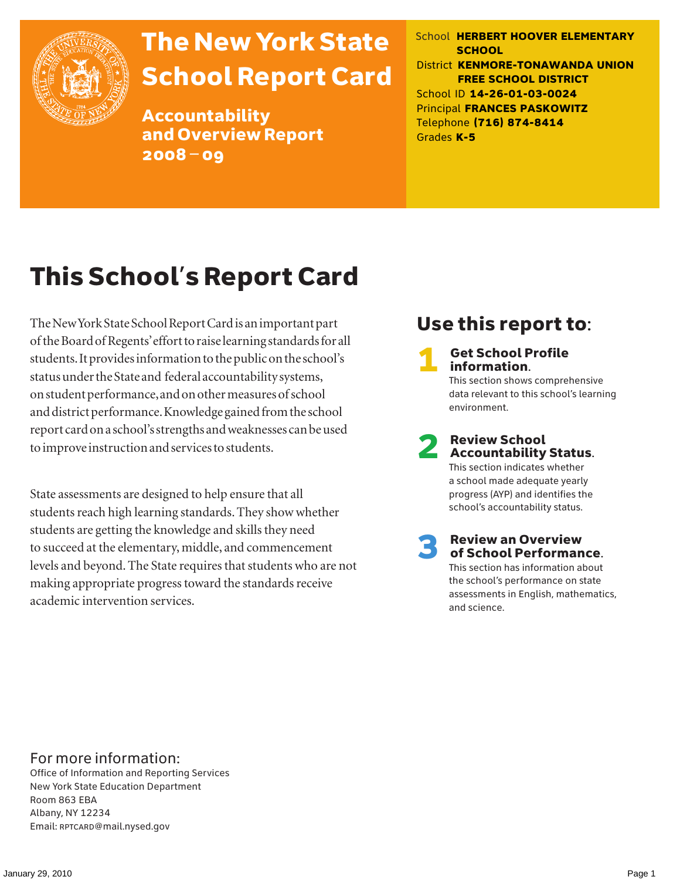

# The New York State School Report Card

Accountability and Overview Report 2008–09

School **HERBERT HOOVER ELEMENTARY SCHOOL** District **KENMORE-TONAWANDA UNION FREE SCHOOL DISTRICT** School ID **14-26-01-03-0024** Principal **FRANCES PASKOWITZ** Telephone **(716) 874-8414** Grades **K-5**

# This School's Report Card

The New York State School Report Card is an important part of the Board of Regents' effort to raise learning standards for all students. It provides information to the public on the school's status under the State and federal accountability systems, on student performance, and on other measures of school and district performance. Knowledge gained from the school report card on a school's strengths and weaknesses can be used to improve instruction and services to students.

State assessments are designed to help ensure that all students reach high learning standards. They show whether students are getting the knowledge and skills they need to succeed at the elementary, middle, and commencement levels and beyond. The State requires that students who are not making appropriate progress toward the standards receive academic intervention services.

### Use this report to:

**Get School Profile** information. This section shows comprehensive data relevant to this school's learning environment.

# 2 Review School Accountability Status.

This section indicates whether a school made adequate yearly progress (AYP) and identifies the school's accountability status.

3 Review an Overview of School Performance. This section has information about the school's performance on state assessments in English, mathematics,

and science.

For more information:

Office of Information and Reporting Services New York State Education Department Room 863 EBA Albany, NY 12234 Email: RPTCARD@mail.nysed.gov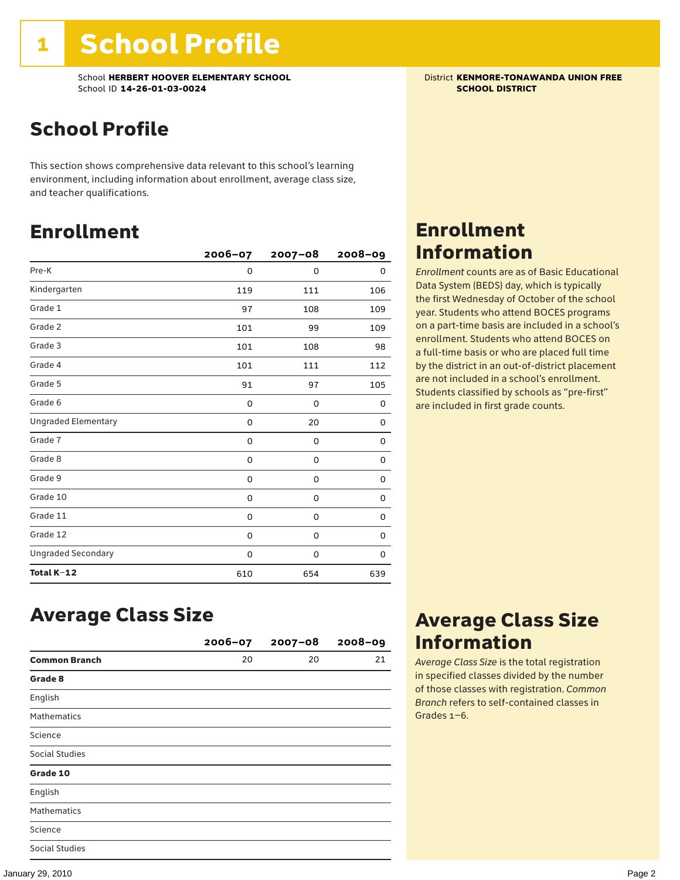School **HERBERT HOOVER ELEMENTARY SCHOOL**<br>School ID 14-26-01-03-0024<br>**SCHOOL DISTRICT** School ID **14-26-01-03-0024** 

### School Profile

This section shows comprehensive data relevant to this school's learning environment, including information about enrollment, average class size, and teacher qualifications.

### Enrollment

|                            | $2006 - 07$ | $2007 - 08$ | $2008 - 09$ |
|----------------------------|-------------|-------------|-------------|
| Pre-K                      | 0           | 0           | 0           |
| Kindergarten               | 119         | 111         | 106         |
| Grade 1                    | 97          | 108         | 109         |
| Grade 2                    | 101         | 99          | 109         |
| Grade 3                    | 101         | 108         | 98          |
| Grade 4                    | 101         | 111         | 112         |
| Grade 5                    | 91          | 97          | 105         |
| Grade 6                    | 0           | 0           | 0           |
| <b>Ungraded Elementary</b> | 0           | 20          | 0           |
| Grade 7                    | 0           | $\mathbf 0$ | 0           |
| Grade 8                    | 0           | 0           | 0           |
| Grade 9                    | 0           | 0           | 0           |
| Grade 10                   | 0           | 0           | 0           |
| Grade 11                   | 0           | 0           | 0           |
| Grade 12                   | 0           | 0           | 0           |
| <b>Ungraded Secondary</b>  | 0           | 0           | 0           |
| Total K-12                 | 610         | 654         | 639         |

### Enrollment Information

*Enrollment* counts are as of Basic Educational Data System (BEDS) day, which is typically the first Wednesday of October of the school year. Students who attend BOCES programs on a part-time basis are included in a school's enrollment. Students who attend BOCES on a full-time basis or who are placed full time by the district in an out-of-district placement are not included in a school's enrollment. Students classified by schools as "pre-first" are included in first grade counts.

### Average Class Size

|                       | $2006 - 07$ | $2007 - 08$ | $2008 - 09$ |
|-----------------------|-------------|-------------|-------------|
| <b>Common Branch</b>  | 20          | 20          | 21          |
| Grade 8               |             |             |             |
| English               |             |             |             |
| <b>Mathematics</b>    |             |             |             |
| Science               |             |             |             |
| Social Studies        |             |             |             |
| Grade 10              |             |             |             |
| English               |             |             |             |
| <b>Mathematics</b>    |             |             |             |
| Science               |             |             |             |
| <b>Social Studies</b> |             |             |             |

### Average Class Size Information

*Average Class Size* is the total registration in specified classes divided by the number of those classes with registration. *Common Branch* refers to self-contained classes in Grades 1–6.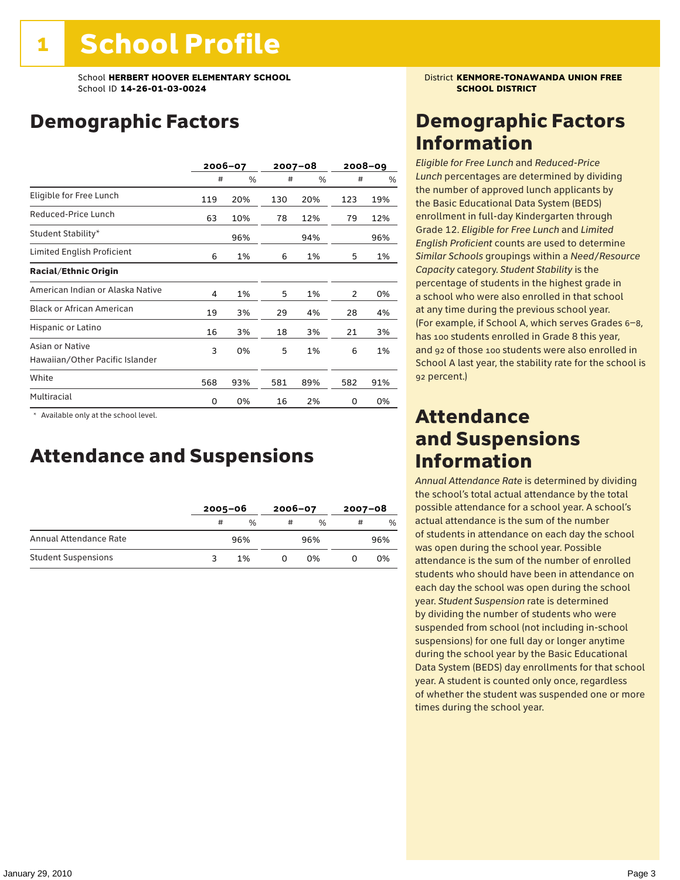### Demographic Factors

|                                                    | 2006-07 |     |     | $2007 - 08$ |     | $2008 - 09$ |
|----------------------------------------------------|---------|-----|-----|-------------|-----|-------------|
|                                                    | #       | %   | #   | %           | #   | %           |
| Eligible for Free Lunch                            | 119     | 20% | 130 | 20%         | 123 | 19%         |
| Reduced-Price Lunch                                | 63      | 10% | 78  | 12%         | 79  | 12%         |
| Student Stability*                                 |         | 96% |     | 94%         |     | 96%         |
| Limited English Proficient                         | 6       | 1%  | 6   | 1%          | 5   | 1%          |
| <b>Racial/Ethnic Origin</b>                        |         |     |     |             |     |             |
| American Indian or Alaska Native                   | 4       | 1%  | 5   | 1%          | 2   | 0%          |
| <b>Black or African American</b>                   | 19      | 3%  | 29  | 4%          | 28  | 4%          |
| Hispanic or Latino                                 | 16      | 3%  | 18  | 3%          | 21  | 3%          |
| Asian or Native<br>Hawaiian/Other Pacific Islander | 3       | 0%  | 5   | 1%          | 6   | 1%          |
| White                                              | 568     | 93% | 581 | 89%         | 582 | 91%         |
| Multiracial                                        | 0       | 0%  | 16  | 2%          | 0   | 0%          |

\* Available only at the school level.

### Attendance and Suspensions

|                            |   | $2005 - 06$ |   | $2006 - 07$ |   | $2007 - 08$   |  |
|----------------------------|---|-------------|---|-------------|---|---------------|--|
|                            | # | $\%$        | # | $\%$        | # | $\frac{0}{6}$ |  |
| Annual Attendance Rate     |   | 96%         |   | 96%         |   | 96%           |  |
| <b>Student Suspensions</b> |   | 1%          |   | በ%          |   | 0%            |  |

### Demographic Factors Information

*Eligible for Free Lunch* and *Reduced*-*Price Lunch* percentages are determined by dividing the number of approved lunch applicants by the Basic Educational Data System (BEDS) enrollment in full-day Kindergarten through Grade 12. *Eligible for Free Lunch* and *Limited English Proficient* counts are used to determine *Similar Schools* groupings within a *Need*/*Resource Capacity* category. *Student Stability* is the percentage of students in the highest grade in a school who were also enrolled in that school at any time during the previous school year. (For example, if School A, which serves Grades 6–8, has 100 students enrolled in Grade 8 this year, and 92 of those 100 students were also enrolled in School A last year, the stability rate for the school is 92 percent.)

### Attendance and Suspensions Information

*Annual Attendance Rate* is determined by dividing the school's total actual attendance by the total possible attendance for a school year. A school's actual attendance is the sum of the number of students in attendance on each day the school was open during the school year. Possible attendance is the sum of the number of enrolled students who should have been in attendance on each day the school was open during the school year. *Student Suspension* rate is determined by dividing the number of students who were suspended from school (not including in-school suspensions) for one full day or longer anytime during the school year by the Basic Educational Data System (BEDS) day enrollments for that school year. A student is counted only once, regardless of whether the student was suspended one or more times during the school year.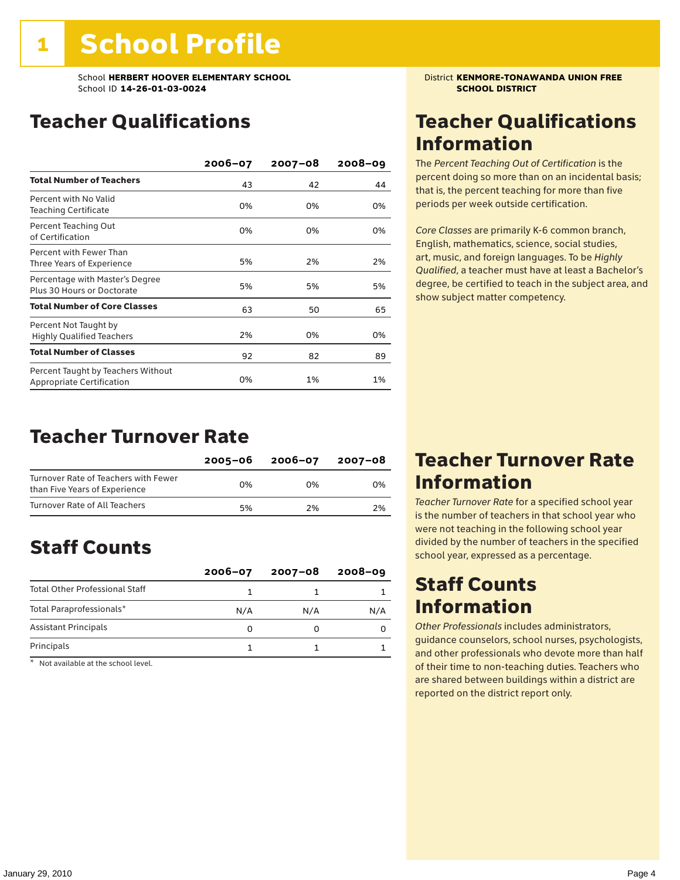School **HERBERT HOOVER ELEMENTARY SCHOOL** District **KENMORE-TONAWANDA UNION FREE**<br>School ID 14-26-01-03-0024 **District Atlantic School District** School ID **14-26-01-03-0024** 

### Teacher Qualifications

|                                                                 | $2006 - 07$ | $2007 - 08$ | $2008 - 09$ |
|-----------------------------------------------------------------|-------------|-------------|-------------|
| <b>Total Number of Teachers</b>                                 | 43          | 42          | 44          |
| Percent with No Valid<br>Teaching Certificate                   | 0%          | 0%          | 0%          |
| Percent Teaching Out<br>of Certification                        | 0%          | 0%          | 0%          |
| Percent with Fewer Than<br>Three Years of Experience            | 5%          | 2%          | 2%          |
| Percentage with Master's Degree<br>Plus 30 Hours or Doctorate   | 5%          | 5%          | 5%          |
| <b>Total Number of Core Classes</b>                             | 63          | 50          | 65          |
| Percent Not Taught by<br><b>Highly Qualified Teachers</b>       | 2%          | 0%          | 0%          |
| <b>Total Number of Classes</b>                                  | 92          | 82          | 89          |
| Percent Taught by Teachers Without<br>Appropriate Certification | 0%          | 1%          | 1%          |

### Teacher Turnover Rate

|                                                                       | 2005-06 | 2006-07 | 2007-08 |
|-----------------------------------------------------------------------|---------|---------|---------|
| Turnover Rate of Teachers with Fewer<br>than Five Years of Experience | በ%      | በ%      | 0%      |
| Turnover Rate of All Teachers                                         | 5%      | 2%      | 2%      |

### Staff Counts

|                                       | $2006 - 07$ | $2007 - 08$ | $2008 - 09$ |
|---------------------------------------|-------------|-------------|-------------|
| <b>Total Other Professional Staff</b> |             |             |             |
| Total Paraprofessionals*              | N/A         | N/A         | N/A         |
| <b>Assistant Principals</b>           |             |             |             |
| Principals                            |             |             |             |

\* Not available at the school level.

### Teacher Qualifications Information

The *Percent Teaching Out of Certification* is the percent doing so more than on an incidental basis; that is, the percent teaching for more than five periods per week outside certification.

*Core Classes* are primarily K-6 common branch, English, mathematics, science, social studies, art, music, and foreign languages. To be *Highly Qualified*, a teacher must have at least a Bachelor's degree, be certified to teach in the subject area, and show subject matter competency.

### Teacher Turnover Rate Information

*Teacher Turnover Rate* for a specified school year is the number of teachers in that school year who were not teaching in the following school year divided by the number of teachers in the specified school year, expressed as a percentage.

### Staff Counts Information

*Other Professionals* includes administrators, guidance counselors, school nurses, psychologists, and other professionals who devote more than half of their time to non-teaching duties. Teachers who are shared between buildings within a district are reported on the district report only.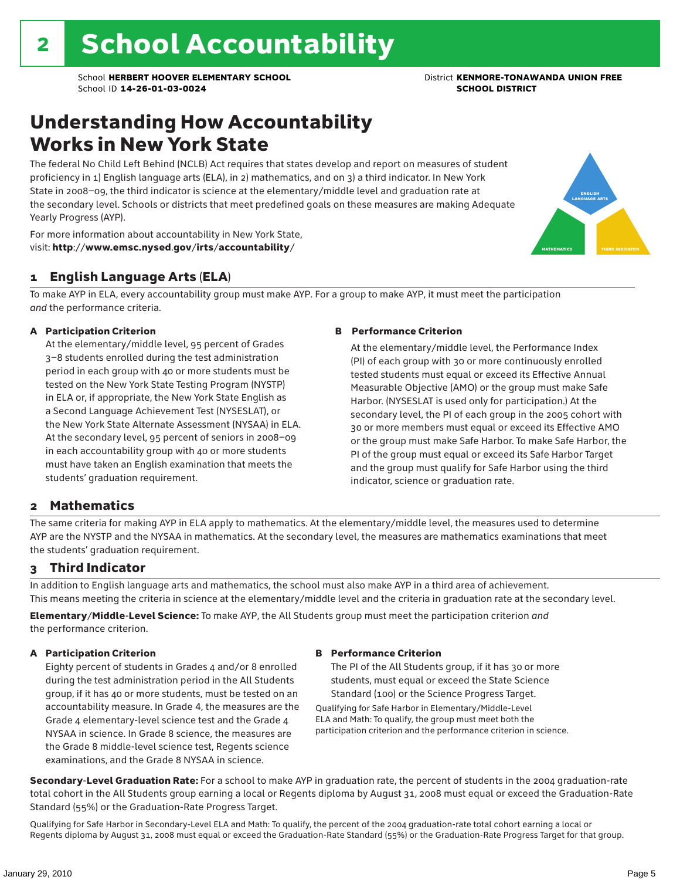### Understanding How Accountability Works in New York State

The federal No Child Left Behind (NCLB) Act requires that states develop and report on measures of student proficiency in 1) English language arts (ELA), in 2) mathematics, and on 3) a third indicator. In New York State in 2008–09, the third indicator is science at the elementary/middle level and graduation rate at the secondary level. Schools or districts that meet predefined goals on these measures are making Adequate Yearly Progress (AYP).



For more information about accountability in New York State, visit: http://www.emsc.nysed.gov/irts/accountability/

### 1 English Language Arts (ELA)

To make AYP in ELA, every accountability group must make AYP. For a group to make AYP, it must meet the participation *and* the performance criteria.

#### A Participation Criterion

At the elementary/middle level, 95 percent of Grades 3–8 students enrolled during the test administration period in each group with 40 or more students must be tested on the New York State Testing Program (NYSTP) in ELA or, if appropriate, the New York State English as a Second Language Achievement Test (NYSESLAT), or the New York State Alternate Assessment (NYSAA) in ELA. At the secondary level, 95 percent of seniors in 2008–09 in each accountability group with 40 or more students must have taken an English examination that meets the students' graduation requirement.

#### B Performance Criterion

At the elementary/middle level, the Performance Index (PI) of each group with 30 or more continuously enrolled tested students must equal or exceed its Effective Annual Measurable Objective (AMO) or the group must make Safe Harbor. (NYSESLAT is used only for participation.) At the secondary level, the PI of each group in the 2005 cohort with 30 or more members must equal or exceed its Effective AMO or the group must make Safe Harbor. To make Safe Harbor, the PI of the group must equal or exceed its Safe Harbor Target and the group must qualify for Safe Harbor using the third indicator, science or graduation rate.

### 2 Mathematics

The same criteria for making AYP in ELA apply to mathematics. At the elementary/middle level, the measures used to determine AYP are the NYSTP and the NYSAA in mathematics. At the secondary level, the measures are mathematics examinations that meet the students' graduation requirement.

### 3 Third Indicator

In addition to English language arts and mathematics, the school must also make AYP in a third area of achievement. This means meeting the criteria in science at the elementary/middle level and the criteria in graduation rate at the secondary level.

Elementary/Middle-Level Science: To make AYP, the All Students group must meet the participation criterion *and* the performance criterion.

#### A Participation Criterion

Eighty percent of students in Grades 4 and/or 8 enrolled during the test administration period in the All Students group, if it has 40 or more students, must be tested on an accountability measure. In Grade 4, the measures are the Grade 4 elementary-level science test and the Grade 4 NYSAA in science. In Grade 8 science, the measures are the Grade 8 middle-level science test, Regents science examinations, and the Grade 8 NYSAA in science.

#### B Performance Criterion

The PI of the All Students group, if it has 30 or more students, must equal or exceed the State Science Standard (100) or the Science Progress Target.

Qualifying for Safe Harbor in Elementary/Middle-Level ELA and Math: To qualify, the group must meet both the participation criterion and the performance criterion in science.

Secondary-Level Graduation Rate: For a school to make AYP in graduation rate, the percent of students in the 2004 graduation-rate total cohort in the All Students group earning a local or Regents diploma by August 31, 2008 must equal or exceed the Graduation-Rate Standard (55%) or the Graduation-Rate Progress Target.

Qualifying for Safe Harbor in Secondary-Level ELA and Math: To qualify, the percent of the 2004 graduation-rate total cohort earning a local or Regents diploma by August 31, 2008 must equal or exceed the Graduation-Rate Standard (55%) or the Graduation-Rate Progress Target for that group.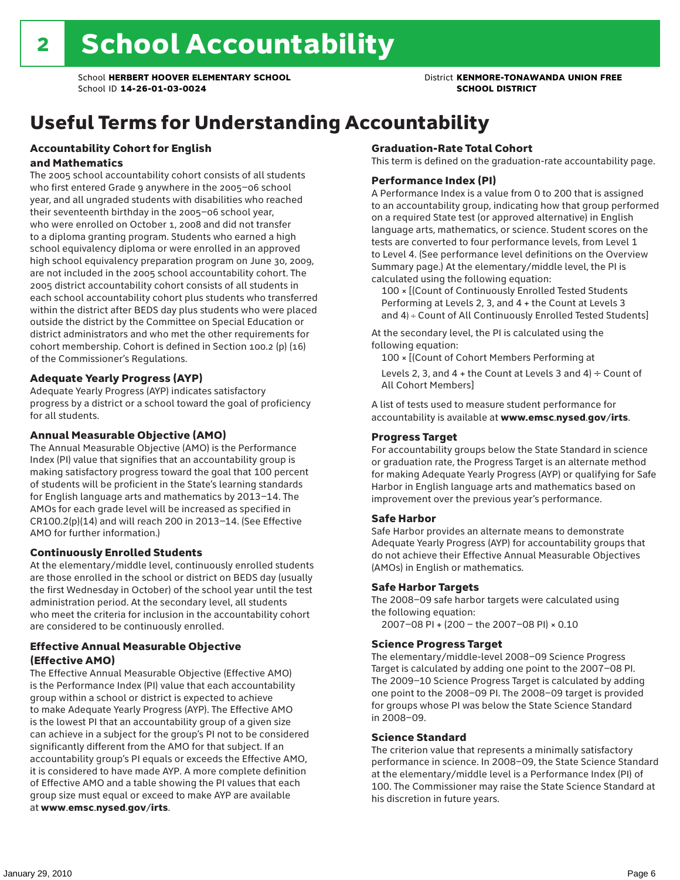## Useful Terms for Understanding Accountability

#### Accountability Cohort for English and Mathematics

The 2005 school accountability cohort consists of all students who first entered Grade 9 anywhere in the 2005–06 school year, and all ungraded students with disabilities who reached their seventeenth birthday in the 2005–06 school year, who were enrolled on October 1, 2008 and did not transfer to a diploma granting program. Students who earned a high school equivalency diploma or were enrolled in an approved high school equivalency preparation program on June 30, 2009, are not included in the 2005 school accountability cohort. The 2005 district accountability cohort consists of all students in each school accountability cohort plus students who transferred within the district after BEDS day plus students who were placed outside the district by the Committee on Special Education or district administrators and who met the other requirements for cohort membership. Cohort is defined in Section 100.2 (p) (16) of the Commissioner's Regulations.

#### Adequate Yearly Progress (AYP)

Adequate Yearly Progress (AYP) indicates satisfactory progress by a district or a school toward the goal of proficiency for all students.

#### Annual Measurable Objective (AMO)

The Annual Measurable Objective (AMO) is the Performance Index (PI) value that signifies that an accountability group is making satisfactory progress toward the goal that 100 percent of students will be proficient in the State's learning standards for English language arts and mathematics by 2013–14. The AMOs for each grade level will be increased as specified in CR100.2(p)(14) and will reach 200 in 2013–14. (See Effective AMO for further information.)

#### Continuously Enrolled Students

At the elementary/middle level, continuously enrolled students are those enrolled in the school or district on BEDS day (usually the first Wednesday in October) of the school year until the test administration period. At the secondary level, all students who meet the criteria for inclusion in the accountability cohort are considered to be continuously enrolled.

#### Effective Annual Measurable Objective (Effective AMO)

The Effective Annual Measurable Objective (Effective AMO) is the Performance Index (PI) value that each accountability group within a school or district is expected to achieve to make Adequate Yearly Progress (AYP). The Effective AMO is the lowest PI that an accountability group of a given size can achieve in a subject for the group's PI not to be considered significantly different from the AMO for that subject. If an accountability group's PI equals or exceeds the Effective AMO, it is considered to have made AYP. A more complete definition of Effective AMO and a table showing the PI values that each group size must equal or exceed to make AYP are available at www.emsc.nysed.gov/irts.

#### Graduation-Rate Total Cohort

This term is defined on the graduation-rate accountability page.

#### Performance Index (PI)

A Performance Index is a value from 0 to 200 that is assigned to an accountability group, indicating how that group performed on a required State test (or approved alternative) in English language arts, mathematics, or science. Student scores on the tests are converted to four performance levels, from Level 1 to Level 4. (See performance level definitions on the Overview Summary page.) At the elementary/middle level, the PI is calculated using the following equation:

100 × [(Count of Continuously Enrolled Tested Students Performing at Levels 2, 3, and 4 + the Count at Levels 3 and 4) ÷ Count of All Continuously Enrolled Tested Students]

At the secondary level, the PI is calculated using the following equation:

100 × [(Count of Cohort Members Performing at

Levels 2, 3, and 4 + the Count at Levels 3 and 4)  $\div$  Count of All Cohort Members]

A list of tests used to measure student performance for accountability is available at www.emsc.nysed.gov/irts.

#### Progress Target

For accountability groups below the State Standard in science or graduation rate, the Progress Target is an alternate method for making Adequate Yearly Progress (AYP) or qualifying for Safe Harbor in English language arts and mathematics based on improvement over the previous year's performance.

#### Safe Harbor

Safe Harbor provides an alternate means to demonstrate Adequate Yearly Progress (AYP) for accountability groups that do not achieve their Effective Annual Measurable Objectives (AMOs) in English or mathematics.

#### Safe Harbor Targets

The 2008–09 safe harbor targets were calculated using the following equation:

2007–08 PI + (200 – the 2007–08 PI) × 0.10

#### Science Progress Target

The elementary/middle-level 2008–09 Science Progress Target is calculated by adding one point to the 2007–08 PI. The 2009–10 Science Progress Target is calculated by adding one point to the 2008–09 PI. The 2008–09 target is provided for groups whose PI was below the State Science Standard in 2008–09.

#### Science Standard

The criterion value that represents a minimally satisfactory performance in science. In 2008–09, the State Science Standard at the elementary/middle level is a Performance Index (PI) of 100. The Commissioner may raise the State Science Standard at his discretion in future years.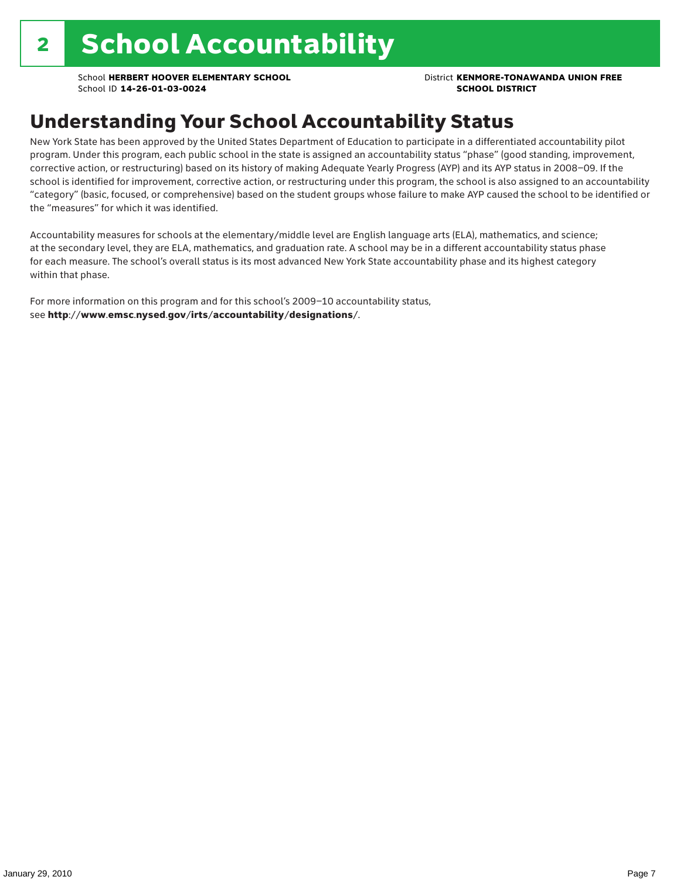### Understanding Your School Accountability Status

New York State has been approved by the United States Department of Education to participate in a differentiated accountability pilot program. Under this program, each public school in the state is assigned an accountability status "phase" (good standing, improvement, corrective action, or restructuring) based on its history of making Adequate Yearly Progress (AYP) and its AYP status in 2008–09. If the school is identified for improvement, corrective action, or restructuring under this program, the school is also assigned to an accountability "category" (basic, focused, or comprehensive) based on the student groups whose failure to make AYP caused the school to be identified or the "measures" for which it was identified.

Accountability measures for schools at the elementary/middle level are English language arts (ELA), mathematics, and science; at the secondary level, they are ELA, mathematics, and graduation rate. A school may be in a different accountability status phase for each measure. The school's overall status is its most advanced New York State accountability phase and its highest category within that phase.

For more information on this program and for this school's 2009–10 accountability status, see http://www.emsc.nysed.gov/irts/accountability/designations/.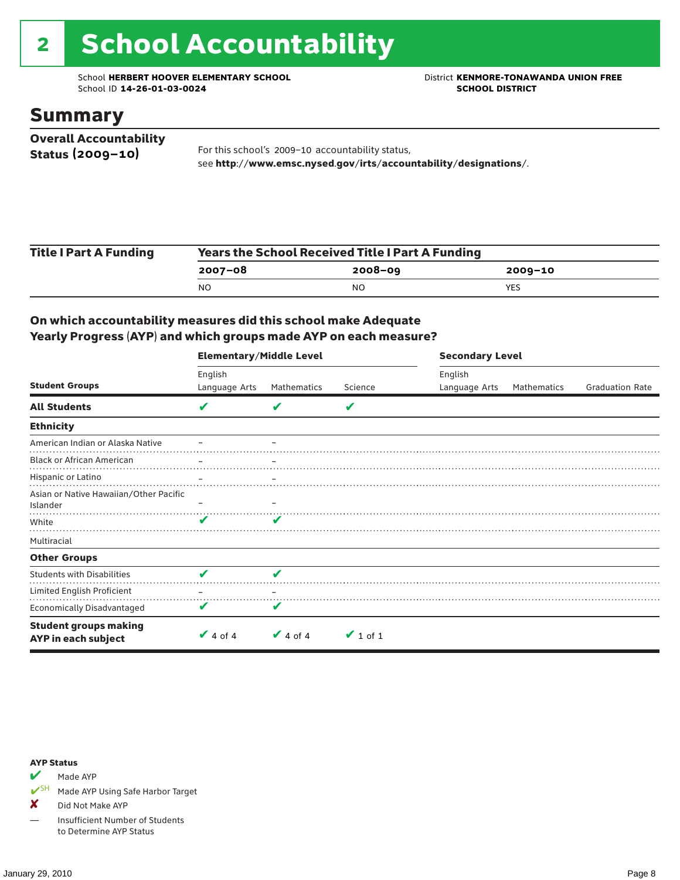# 2 School Accountability

School **HERBERT HOOVER ELEMENTARY SCHOOL** District **KENMORE-TONAWANDA UNION FREE**<br>School ID 14-26-01-03-0024 **District** School ID 14-26-01-03-0024 School ID **14-26-01-03-0024** 

### Summary

| <b>Overall Accountability</b> |                                                                  |
|-------------------------------|------------------------------------------------------------------|
| Status (2009-10)              | For this school's 2009-10 accountability status,                 |
|                               | see http://www.emsc.nysed.gov/irts/accountability/designations/. |

| <b>Title I Part A Funding</b> | <b>Years the School Received Title I Part A Funding</b> |             |         |  |  |
|-------------------------------|---------------------------------------------------------|-------------|---------|--|--|
|                               | $2007 - 08$                                             | $2008 - 09$ | 2009-10 |  |  |
|                               | NO                                                      | NO          | YES     |  |  |

### On which accountability measures did this school make Adequate Yearly Progress (AYP) and which groups made AYP on each measure?

|                                                     | <b>Elementary/Middle Level</b> |               |               | <b>Secondary Level</b> |             |                        |
|-----------------------------------------------------|--------------------------------|---------------|---------------|------------------------|-------------|------------------------|
| <b>Student Groups</b>                               | English                        |               |               | English                |             |                        |
|                                                     | Language Arts                  | Mathematics   | Science       | Language Arts          | Mathematics | <b>Graduation Rate</b> |
| <b>All Students</b>                                 | V                              | v             | V             |                        |             |                        |
| <b>Ethnicity</b>                                    |                                |               |               |                        |             |                        |
| American Indian or Alaska Native                    |                                |               |               |                        |             |                        |
| <b>Black or African American</b>                    |                                |               |               |                        |             |                        |
| Hispanic or Latino                                  |                                |               |               |                        |             |                        |
| Asian or Native Hawaiian/Other Pacific<br>Islander  |                                |               |               |                        |             |                        |
| White                                               | ✔                              | v             |               |                        |             |                        |
| Multiracial                                         |                                |               |               |                        |             |                        |
| <b>Other Groups</b>                                 |                                |               |               |                        |             |                        |
| <b>Students with Disabilities</b>                   | V                              | V             |               |                        |             |                        |
| Limited English Proficient                          |                                |               |               |                        |             |                        |
| Economically Disadvantaged                          | V                              | V             |               |                        |             |                        |
| <b>Student groups making</b><br>AYP in each subject | $\vee$ 4 of 4                  | $\vee$ 4 of 4 | $\vee$ 1 of 1 |                        |             |                        |

#### AYP Status

Made AYP

✔SH Made AYP Using Safe Harbor Target

X Did Not Make AYP

— Insufficient Number of Students to Determine AYP Status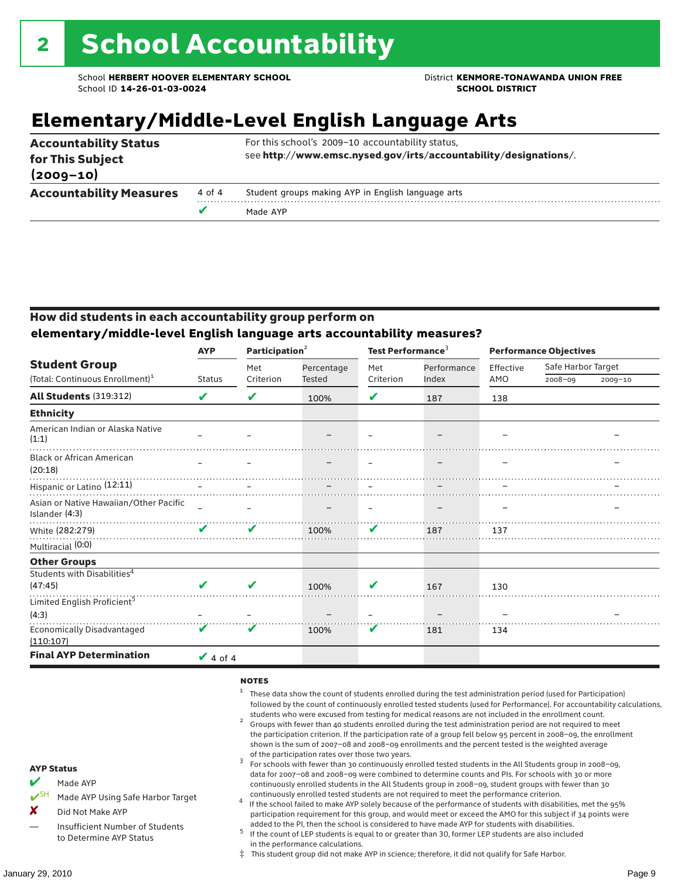### **Elementary/Middle-Level English Language Arts**

| <b>Accountability Status</b><br>for This Subject<br>$(2009 - 10)$ |        | For this school's 2009-10 accountability status,<br>see http://www.emsc.nysed.gov/irts/accountability/designations/. |
|-------------------------------------------------------------------|--------|----------------------------------------------------------------------------------------------------------------------|
| <b>Accountability Measures</b>                                    | 4 of 4 | Student groups making AYP in English language arts                                                                   |
|                                                                   |        | Made AYP                                                                                                             |

#### How did students in each accountability group perform on **elementary/middle-level English language arts accountability measures?**

|                                                          | <b>AYP</b>      | Participation <sup>2</sup>                                                      |            | Test Performance <sup>3</sup> |             | <b>Performance Objectives</b> |                    |             |
|----------------------------------------------------------|-----------------|---------------------------------------------------------------------------------|------------|-------------------------------|-------------|-------------------------------|--------------------|-------------|
| <b>Student Group</b>                                     |                 | Met                                                                             | Percentage | Met                           | Performance | Effective                     | Safe Harbor Target |             |
| (Total: Continuous Enrollment) <sup>1</sup>              | <b>Status</b>   | Criterion                                                                       | Tested     | Criterion                     | Index       | AMO                           | 2008-09            | $2009 - 10$ |
| <b>All Students (319:312)</b>                            | V               | V                                                                               | 100%       | V                             | 187         | 138                           |                    |             |
| <b>Ethnicity</b>                                         |                 |                                                                                 |            |                               |             |                               |                    |             |
| American Indian or Alaska Native<br>(1:1)                |                 |                                                                                 |            |                               |             |                               |                    |             |
| <b>Black or African American</b><br>(20:18)              |                 |                                                                                 |            |                               |             |                               |                    |             |
| Hispanic or Latino <sup>(12:11)</sup>                    |                 | the contract of the contract of the contract of the contract of the contract of |            |                               |             |                               |                    |             |
| Asian or Native Hawaiian/Other Pacific<br>Islander (4:3) |                 |                                                                                 |            |                               |             |                               |                    |             |
| White (282:279)                                          | V               | V                                                                               | 100%       | V                             | 187         | 137                           |                    |             |
| Multiracial (0:0)                                        |                 |                                                                                 |            |                               |             |                               |                    |             |
| <b>Other Groups</b>                                      |                 |                                                                                 |            |                               |             |                               |                    |             |
| Students with Disabilities <sup>4</sup>                  |                 |                                                                                 |            |                               |             |                               |                    |             |
| (47:45)                                                  | ✔               | ✔                                                                               | 100%       | V                             | 167         | 130                           |                    |             |
| Limited English Proficient <sup>5</sup>                  |                 |                                                                                 |            |                               |             |                               |                    |             |
| (4:3)                                                    |                 |                                                                                 |            |                               |             |                               |                    |             |
| <b>Economically Disadvantaged</b><br>(110:107)           | V               | V                                                                               | 100%       | V                             | 181         | 134                           |                    |             |
| <b>Final AYP Determination</b>                           | $\sqrt{4}$ of 4 |                                                                                 |            |                               |             |                               |                    |             |

#### **NOTES**

- <sup>1</sup> These data show the count of students enrolled during the test administration period (used for Participation) followed by the count of continuously enrolled tested students (used for Performance). For accountability calculations,
- students who were excused from testing for medical reasons are not included in the enrollment count. <sup>2</sup> Groups with fewer than 40 students enrolled during the test administration period are not required to meet the participation criterion. If the participation rate of a group fell below 95 percent in 2008–09, the enrollment shown is the sum of 2007–08 and 2008–09 enrollments and the percent tested is the weighted average
- of the participation rates over those two years.<br><sup>3</sup> For schools with fewer than 30 continuously enrolled tested students in the All Students group in 2008–09, data for 2007–08 and 2008–09 were combined to determine counts and PIs. For schools with 30 or more continuously enrolled students in the All Students group in 2008–09, student groups with fewer than 30
- continuously enrolled tested students are not required to meet the performance criterion. <sup>4</sup> If the school failed to make AYP solely because of the performance of students with disabilities, met the 95% participation requirement for this group, and would meet or exceed the AMO for this subject if 34 points were added to the PI, then the school is considered to have made AYP for students with disabilities.
- $5$  If the count of LEP students is equal to or greater than 30, former LEP students are also included in the performance calculations.
- ‡ This student group did not make AYP in science; therefore, it did not qualify for Safe Harbor.
- $M$  Made AYP
	- Made AYP Using Safe Harbor Target
- X Did Not Make AYP
- Insufficient Number of Students to Determine AYP Status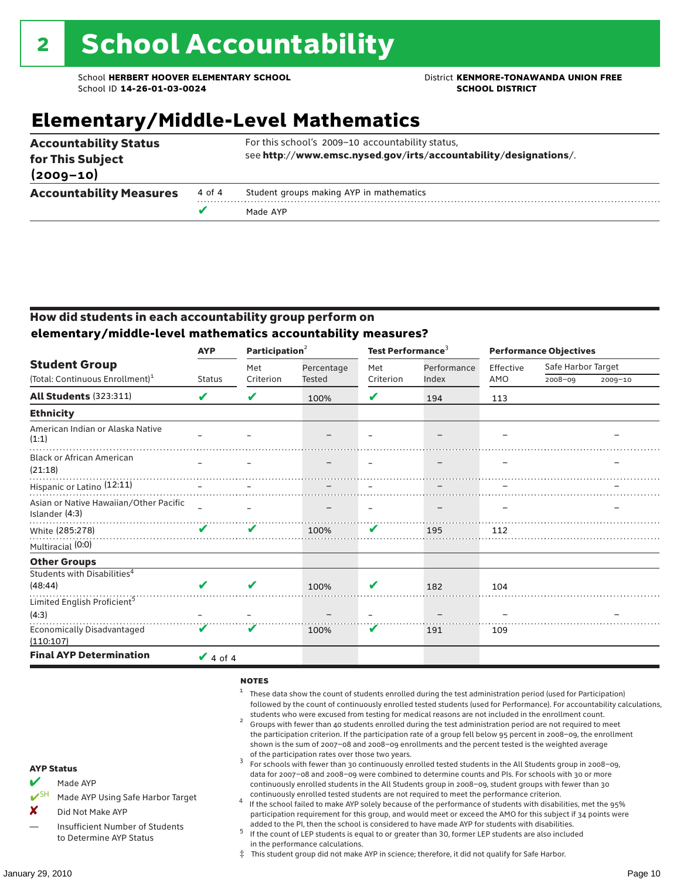### **Elementary/Middle-Level Mathematics**

| <b>Accountability Status</b><br>for This Subject<br>$(2009 - 10)$ |        | For this school's 2009-10 accountability status,<br>see http://www.emsc.nysed.gov/irts/accountability/designations/. |
|-------------------------------------------------------------------|--------|----------------------------------------------------------------------------------------------------------------------|
| <b>Accountability Measures</b>                                    | 4 of 4 | Student groups making AYP in mathematics                                                                             |
|                                                                   |        | Made AYP                                                                                                             |

#### How did students in each accountability group perform on **elementary/middle-level mathematics accountability measures?**

|                                                          | <b>AYP</b>      | Participation <sup>2</sup>                                                                                      |            | Test Performance <sup>3</sup> |             | <b>Performance Objectives</b> |                    |             |
|----------------------------------------------------------|-----------------|-----------------------------------------------------------------------------------------------------------------|------------|-------------------------------|-------------|-------------------------------|--------------------|-------------|
| <b>Student Group</b>                                     |                 | Met                                                                                                             | Percentage | Met                           | Performance | Effective                     | Safe Harbor Target |             |
| (Total: Continuous Enrollment) <sup>1</sup>              | <b>Status</b>   | Criterion                                                                                                       | Tested     | Criterion                     | Index       | AMO                           | 2008-09            | $2009 - 10$ |
| <b>All Students (323:311)</b>                            | V               | V                                                                                                               | 100%       | V                             | 194         | 113                           |                    |             |
| <b>Ethnicity</b>                                         |                 |                                                                                                                 |            |                               |             |                               |                    |             |
| American Indian or Alaska Native<br>(1:1)                |                 |                                                                                                                 |            |                               |             |                               |                    |             |
| <b>Black or African American</b><br>(21:18)              |                 |                                                                                                                 |            |                               |             |                               |                    |             |
| Hispanic or Latino (12:11)                               |                 | the contract of the contract of the contract of the contract of the contract of the contract of the contract of |            |                               |             |                               |                    |             |
| Asian or Native Hawaiian/Other Pacific<br>Islander (4:3) |                 |                                                                                                                 |            |                               |             |                               |                    |             |
| White (285:278)                                          | V               | V                                                                                                               | 100%       | V                             | 195         | 112                           |                    |             |
| Multiracial (0:0)                                        |                 |                                                                                                                 |            |                               |             |                               |                    |             |
| <b>Other Groups</b>                                      |                 |                                                                                                                 |            |                               |             |                               |                    |             |
| Students with Disabilities <sup>4</sup>                  |                 |                                                                                                                 |            |                               |             |                               |                    |             |
| (48:44)                                                  | ✔               | V                                                                                                               | 100%       | V                             | 182         | 104                           |                    |             |
| Limited English Proficient <sup>5</sup>                  |                 |                                                                                                                 |            |                               |             |                               |                    |             |
| (4:3)                                                    |                 |                                                                                                                 |            |                               |             |                               |                    |             |
| <b>Economically Disadvantaged</b><br>(110:107)           | V               | V                                                                                                               | 100%       | V                             | 191         | 109                           |                    |             |
| <b>Final AYP Determination</b>                           | $\sqrt{4}$ of 4 |                                                                                                                 |            |                               |             |                               |                    |             |

#### **NOTES**

- <sup>1</sup> These data show the count of students enrolled during the test administration period (used for Participation) followed by the count of continuously enrolled tested students (used for Performance). For accountability calculations,
- students who were excused from testing for medical reasons are not included in the enrollment count. <sup>2</sup> Groups with fewer than 40 students enrolled during the test administration period are not required to meet the participation criterion. If the participation rate of a group fell below 95 percent in 2008–09, the enrollment shown is the sum of 2007–08 and 2008–09 enrollments and the percent tested is the weighted average
- of the participation rates over those two years.<br><sup>3</sup> For schools with fewer than 30 continuously enrolled tested students in the All Students group in 2008–09, data for 2007–08 and 2008–09 were combined to determine counts and PIs. For schools with 30 or more continuously enrolled students in the All Students group in 2008–09, student groups with fewer than 30
- continuously enrolled tested students are not required to meet the performance criterion. <sup>4</sup> If the school failed to make AYP solely because of the performance of students with disabilities, met the 95% participation requirement for this group, and would meet or exceed the AMO for this subject if 34 points were added to the PI, then the school is considered to have made AYP for students with disabilities.
- $5$  If the count of LEP students is equal to or greater than 30, former LEP students are also included in the performance calculations.
- ‡ This student group did not make AYP in science; therefore, it did not qualify for Safe Harbor.
- $M$  Made AYP
	- Made AYP Using Safe Harbor Target
- X Did Not Make AYP
- Insufficient Number of Students to Determine AYP Status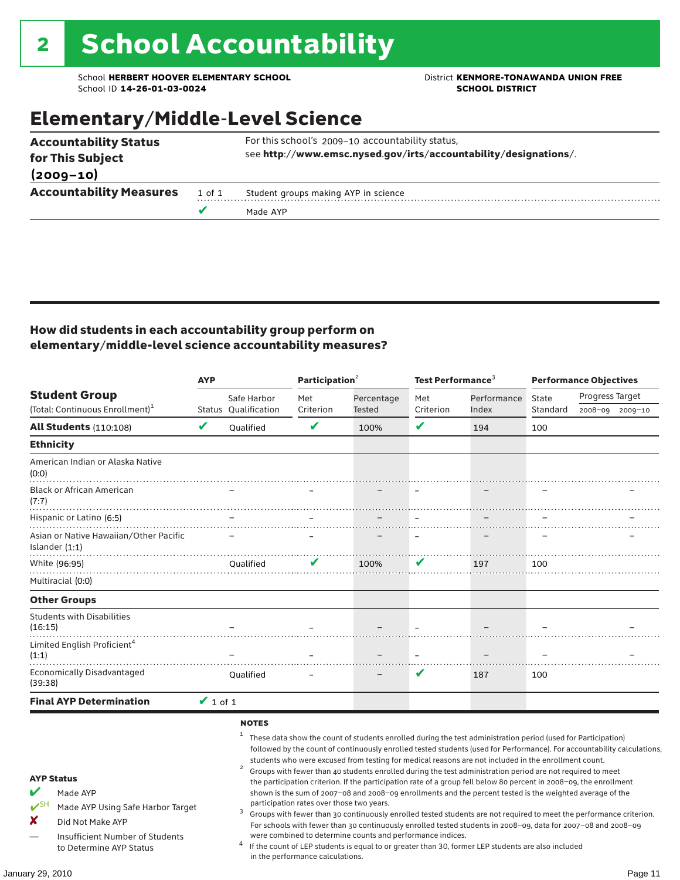School **HERBERT HOOVER ELEMENTARY SCHOOL** District **KENMORE-TONAWANDA UNION FREE**<br>School ID 14-26-01-03-0024 **District** School ID 14-26-01-03-0024 School ID **14-26-01-03-0024** 

### Elementary/Middle-Level Science

|                                | v      | Made AYP                                                         |
|--------------------------------|--------|------------------------------------------------------------------|
| <b>Accountability Measures</b> | 1 of 1 | Student groups making AYP in science                             |
| $(2009 - 10)$                  |        |                                                                  |
| for This Subject               |        | see http://www.emsc.nysed.gov/irts/accountability/designations/. |
| <b>Accountability Status</b>   |        | For this school's 2009-10 accountability status,                 |

#### How did students in each accountability group perform on elementary/middle-level science accountability measures?

|                                                                                                                                                                                   | <b>AYP</b>    |                                                              | Participation <sup>2</sup>                                                    |                                                            | Test Performance $3$ |                                                                                                                                                                                                                                                                                                                                                                                                                                                                                                                                                                                                                                                                              | <b>Performance Objectives</b> |                                                                                                                                                                                                                                                                                                                                                                 |  |
|-----------------------------------------------------------------------------------------------------------------------------------------------------------------------------------|---------------|--------------------------------------------------------------|-------------------------------------------------------------------------------|------------------------------------------------------------|----------------------|------------------------------------------------------------------------------------------------------------------------------------------------------------------------------------------------------------------------------------------------------------------------------------------------------------------------------------------------------------------------------------------------------------------------------------------------------------------------------------------------------------------------------------------------------------------------------------------------------------------------------------------------------------------------------|-------------------------------|-----------------------------------------------------------------------------------------------------------------------------------------------------------------------------------------------------------------------------------------------------------------------------------------------------------------------------------------------------------------|--|
| <b>Student Group</b><br>(Total: Continuous Enrollment) <sup>1</sup>                                                                                                               |               | Safe Harbor<br><b>Status Oualification</b>                   | Met<br>Criterion                                                              | Percentage<br>Tested                                       | Met<br>Criterion     | Performance<br>Index                                                                                                                                                                                                                                                                                                                                                                                                                                                                                                                                                                                                                                                         | State<br>Standard             | Progress Target<br>2008-09 2009-10                                                                                                                                                                                                                                                                                                                              |  |
| <b>All Students (110:108)</b>                                                                                                                                                     | V             | Oualified                                                    | V                                                                             | 100%                                                       | ✔                    | 194                                                                                                                                                                                                                                                                                                                                                                                                                                                                                                                                                                                                                                                                          | 100                           |                                                                                                                                                                                                                                                                                                                                                                 |  |
| <b>Ethnicity</b>                                                                                                                                                                  |               |                                                              |                                                                               |                                                            |                      |                                                                                                                                                                                                                                                                                                                                                                                                                                                                                                                                                                                                                                                                              |                               |                                                                                                                                                                                                                                                                                                                                                                 |  |
| American Indian or Alaska Native<br>(0:0)                                                                                                                                         |               |                                                              |                                                                               |                                                            |                      |                                                                                                                                                                                                                                                                                                                                                                                                                                                                                                                                                                                                                                                                              |                               |                                                                                                                                                                                                                                                                                                                                                                 |  |
| <b>Black or African American</b><br>(7:7)                                                                                                                                         |               |                                                              |                                                                               |                                                            |                      |                                                                                                                                                                                                                                                                                                                                                                                                                                                                                                                                                                                                                                                                              |                               |                                                                                                                                                                                                                                                                                                                                                                 |  |
| Hispanic or Latino (6:5)                                                                                                                                                          |               |                                                              |                                                                               |                                                            |                      |                                                                                                                                                                                                                                                                                                                                                                                                                                                                                                                                                                                                                                                                              |                               |                                                                                                                                                                                                                                                                                                                                                                 |  |
| Asian or Native Hawaiian/Other Pacific<br>Islander $(1:1)$                                                                                                                        |               |                                                              |                                                                               |                                                            |                      |                                                                                                                                                                                                                                                                                                                                                                                                                                                                                                                                                                                                                                                                              |                               |                                                                                                                                                                                                                                                                                                                                                                 |  |
| White (96:95)                                                                                                                                                                     |               | Oualified                                                    |                                                                               | 100%                                                       | V                    | 197                                                                                                                                                                                                                                                                                                                                                                                                                                                                                                                                                                                                                                                                          | 100                           |                                                                                                                                                                                                                                                                                                                                                                 |  |
| Multiracial (0:0)                                                                                                                                                                 |               |                                                              |                                                                               |                                                            |                      |                                                                                                                                                                                                                                                                                                                                                                                                                                                                                                                                                                                                                                                                              |                               |                                                                                                                                                                                                                                                                                                                                                                 |  |
| <b>Other Groups</b>                                                                                                                                                               |               |                                                              |                                                                               |                                                            |                      |                                                                                                                                                                                                                                                                                                                                                                                                                                                                                                                                                                                                                                                                              |                               |                                                                                                                                                                                                                                                                                                                                                                 |  |
| <b>Students with Disabilities</b><br>(16:15)                                                                                                                                      |               |                                                              |                                                                               |                                                            |                      |                                                                                                                                                                                                                                                                                                                                                                                                                                                                                                                                                                                                                                                                              |                               |                                                                                                                                                                                                                                                                                                                                                                 |  |
| Limited English Proficient <sup>4</sup><br>(1:1)                                                                                                                                  |               |                                                              |                                                                               |                                                            |                      |                                                                                                                                                                                                                                                                                                                                                                                                                                                                                                                                                                                                                                                                              |                               |                                                                                                                                                                                                                                                                                                                                                                 |  |
| <b>Economically Disadvantaged</b><br>(39:38)                                                                                                                                      |               | Qualified                                                    |                                                                               |                                                            | V                    | 187                                                                                                                                                                                                                                                                                                                                                                                                                                                                                                                                                                                                                                                                          | 100                           |                                                                                                                                                                                                                                                                                                                                                                 |  |
| <b>Final AYP Determination</b>                                                                                                                                                    | $\vee$ 1 of 1 |                                                              |                                                                               |                                                            |                      |                                                                                                                                                                                                                                                                                                                                                                                                                                                                                                                                                                                                                                                                              |                               |                                                                                                                                                                                                                                                                                                                                                                 |  |
| <b>AYP Status</b><br>V<br>Made AYP<br>$V^{\text{SH}}$<br>Made AYP Using Safe Harbor Target<br>×<br>Did Not Make AYP<br>Insufficient Number of Students<br>to Determine AYP Status |               | <b>NOTES</b><br>$\mathbf{1}$<br>$\overline{\mathbf{c}}$<br>3 | participation rates over those two years.<br>in the performance calculations. | were combined to determine counts and performance indices. |                      | These data show the count of students enrolled during the test administration period (used for Participation)<br>students who were excused from testing for medical reasons are not included in the enrollment count.<br>Groups with fewer than 40 students enrolled during the test administration period are not required to meet<br>the participation criterion. If the participation rate of a group fell below 80 percent in 2008-09, the enrollment<br>shown is the sum of 2007-08 and 2008-09 enrollments and the percent tested is the weighted average of the<br>If the count of LEP students is equal to or greater than 30, former LEP students are also included |                               | followed by the count of continuously enrolled tested students (used for Performance). For accountability calculations,<br>Groups with fewer than 30 continuously enrolled tested students are not required to meet the performance criterion.<br>For schools with fewer than 30 continuously enrolled tested students in 2008-09, data for 2007-08 and 2008-09 |  |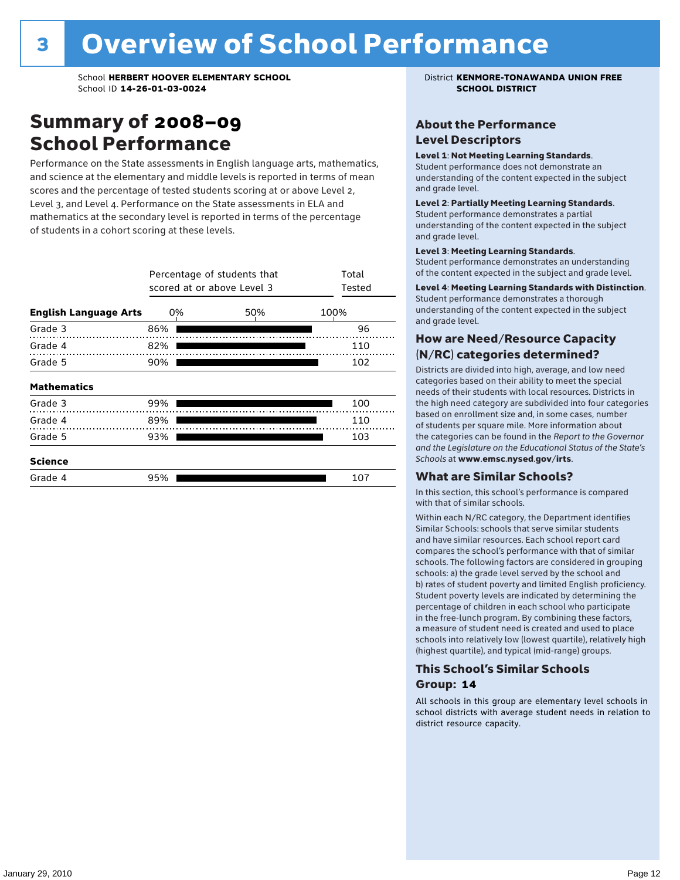### Summary of 2008–09 School Performance

Performance on the State assessments in English language arts, mathematics, and science at the elementary and middle levels is reported in terms of mean scores and the percentage of tested students scoring at or above Level 2, Level 3, and Level 4. Performance on the State assessments in ELA and mathematics at the secondary level is reported in terms of the percentage of students in a cohort scoring at these levels.

|                              |     | Percentage of students that<br>scored at or above Level 3 | Total<br>Tested |
|------------------------------|-----|-----------------------------------------------------------|-----------------|
| <b>English Language Arts</b> | 0%  | 50%                                                       | 100%            |
| Grade 3                      | 86% |                                                           | 96              |
| Grade 4                      | 82% |                                                           | 110             |
| Grade 5                      | 90% |                                                           | 102             |
| <b>Mathematics</b>           |     |                                                           |                 |
| Grade 3                      | 99% |                                                           | 100             |
| Grade 4                      | 89% |                                                           | 110             |
| Grade 5                      | 93% |                                                           | 103             |
| <b>Science</b>               |     |                                                           |                 |
| Grade 4                      | 95% |                                                           | 107             |

#### About the Performance Level Descriptors

#### Level 1: Not Meeting Learning Standards.

Student performance does not demonstrate an understanding of the content expected in the subject and grade level.

#### Level 2: Partially Meeting Learning Standards.

Student performance demonstrates a partial understanding of the content expected in the subject and grade level.

#### Level 3: Meeting Learning Standards.

Student performance demonstrates an understanding of the content expected in the subject and grade level.

#### Level 4: Meeting Learning Standards with Distinction.

Student performance demonstrates a thorough understanding of the content expected in the subject and grade level.

#### How are Need/Resource Capacity (N/RC) categories determined?

Districts are divided into high, average, and low need categories based on their ability to meet the special needs of their students with local resources. Districts in the high need category are subdivided into four categories based on enrollment size and, in some cases, number of students per square mile. More information about the categories can be found in the *Report to the Governor and the Legislature on the Educational Status of the State's Schools* at www.emsc.nysed.gov/irts.

#### What are Similar Schools?

In this section, this school's performance is compared with that of similar schools.

Within each N/RC category, the Department identifies Similar Schools: schools that serve similar students and have similar resources. Each school report card compares the school's performance with that of similar schools. The following factors are considered in grouping schools: a) the grade level served by the school and b) rates of student poverty and limited English proficiency. Student poverty levels are indicated by determining the percentage of children in each school who participate in the free-lunch program. By combining these factors, a measure of student need is created and used to place schools into relatively low (lowest quartile), relatively high (highest quartile), and typical (mid-range) groups.

#### This School's Similar Schools Group: **14**

All schools in this group are elementary level schools in school districts with average student needs in relation to district resource capacity.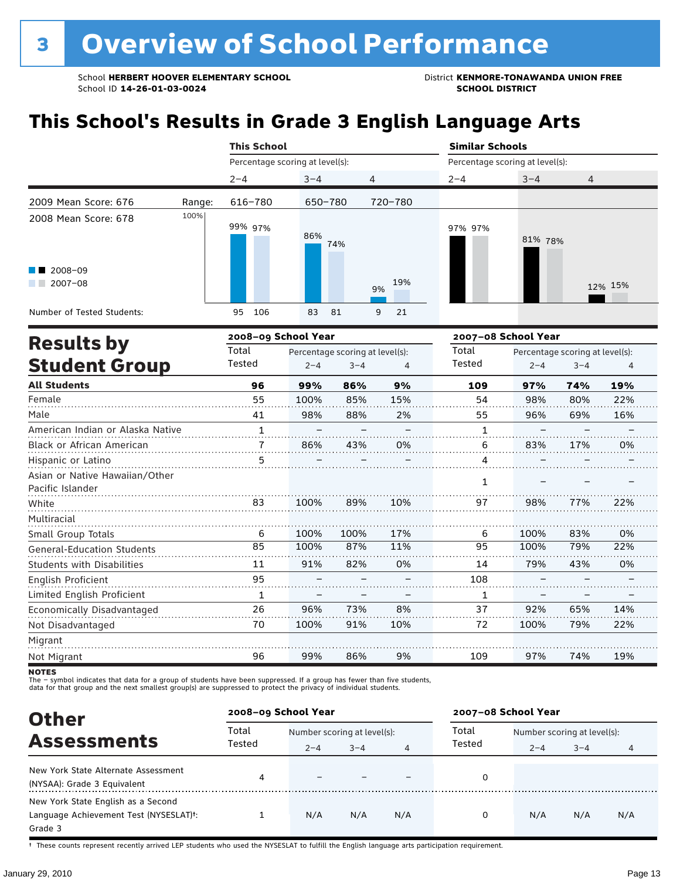### **This School's Results in Grade 3 English Language Arts**

|                                                           |        | <b>This School</b>              |            |                | <b>Similar Schools</b><br>Percentage scoring at level(s): |         |                |  |
|-----------------------------------------------------------|--------|---------------------------------|------------|----------------|-----------------------------------------------------------|---------|----------------|--|
|                                                           |        | Percentage scoring at level(s): |            |                |                                                           |         |                |  |
|                                                           |        | $2 - 4$                         | $3 - 4$    | $\overline{4}$ | $2 - 4$                                                   | $3 - 4$ | $\overline{4}$ |  |
| 2009 Mean Score: 676                                      | Range: | 616-780                         | 650-780    | 720-780        |                                                           |         |                |  |
| 2008 Mean Score: 678<br>$\blacksquare$ 2008-09<br>2007-08 | 100%   | 99% 97%                         | 86%<br>74% | 19%            | 97% 97%                                                   | 81% 78% |                |  |
|                                                           |        |                                 |            | 9%             |                                                           |         | 12% 15%        |  |
| Number of Tested Students:                                |        | 106<br>95                       | 83<br>81   | 9<br>21        |                                                           |         |                |  |

|                                                    |              | 2008-09 School Year |                                 |     | 2007-08 School Year |         |                                 |     |
|----------------------------------------------------|--------------|---------------------|---------------------------------|-----|---------------------|---------|---------------------------------|-----|
| <b>Results by</b>                                  | Total        |                     | Percentage scoring at level(s): |     | Total<br>Tested     |         | Percentage scoring at level(s): |     |
| <b>Student Group</b>                               | Tested       | $2 - 4$             | $3 - 4$                         | 4   |                     | $2 - 4$ | $3 - 4$                         | 4   |
| <b>All Students</b>                                | 96           | 99%                 | 86%                             | 9%  | 109                 | 97%     | 74%                             | 19% |
| Female                                             | 55           | 100%                | 85%                             | 15% | 54                  | 98%     | 80%                             | 22% |
| Male                                               | 41           | 98%                 | 88%                             | 2%  | 55                  | 96%     | 69%                             | 16% |
| American Indian or Alaska Native                   | $\mathbf{1}$ |                     |                                 |     | 1                   |         |                                 |     |
| Black or African American                          |              | 86%                 | 43%                             | 0%  | 6                   | 83%     | 17%                             | 0%  |
| Hispanic or Latino                                 | 5            |                     |                                 |     | 4                   |         |                                 |     |
| Asian or Native Hawaiian/Other<br>Pacific Islander |              |                     |                                 |     | 1                   |         |                                 |     |
| White                                              | 83           | 100%                | 89%                             | 10% | 97                  | 98%     | 77%                             | 22% |
| Multiracial                                        |              |                     |                                 |     |                     |         |                                 |     |
| Small Group Totals                                 | 6            | 100%                | 100%                            | 17% | 6                   | 100%    | 83%                             | 0%  |
| <b>General-Education Students</b>                  | 85           | 100%                | 87%                             | 11% | 95                  | 100%    | 79%                             | 22% |
| <b>Students with Disabilities</b>                  | 11           | 91%                 | 82%                             | 0%  | 14                  | 79%     | 43%                             | 0%  |
| English Proficient                                 | 95           |                     |                                 |     | 108                 |         |                                 |     |
| Limited English Proficient                         | 1            |                     |                                 |     | 1                   |         |                                 |     |
| Economically Disadvantaged                         | 26           | 96%                 | 73%                             | 8%  | 37                  | 92%     | 65%                             | 14% |
| Not Disadvantaged                                  | 70           | 100%                | 91%                             | 10% | 72                  | 100%    | 79%                             | 22% |
| Migrant                                            |              |                     |                                 |     |                     |         |                                 |     |
| Not Migrant                                        | 96           | 99%                 | 86%                             | 9%  | 109                 | 97%     | 74%                             | 19% |
|                                                    |              |                     |                                 |     |                     |         |                                 |     |

NOTES<br>The – symbol indicates that data for a group of students have been suppressed. If a group has fewer than five students,<br>data for that group and the next smallest group(s) are suppressed to protect the privacy of indi

| <b>Other</b>                                        | 2008-09 School Year |                             |         |     | 2007-08 School Year |                             |         |     |
|-----------------------------------------------------|---------------------|-----------------------------|---------|-----|---------------------|-----------------------------|---------|-----|
| <b>Assessments</b>                                  | Total               | Number scoring at level(s): |         |     | Total<br>Tested     | Number scoring at level(s): |         |     |
|                                                     | Tested              | $2 - 4$                     | $3 - 4$ | 4   |                     | $2 - 4$                     | $3 - 4$ | 4   |
| New York State Alternate Assessment                 | 4                   |                             |         |     | 0                   |                             |         |     |
| (NYSAA): Grade 3 Equivalent                         |                     |                             |         |     |                     |                             |         |     |
| New York State English as a Second                  |                     |                             |         |     |                     |                             |         |     |
| Language Achievement Test (NYSESLAT) <sup>+</sup> : |                     | N/A                         | N/A     | N/A | 0                   | N/A                         | N/A     | N/A |
| Grade 3                                             |                     |                             |         |     |                     |                             |         |     |

† These counts represent recently arrived LEP students who used the NYSESLAT to fulfill the English language arts participation requirement.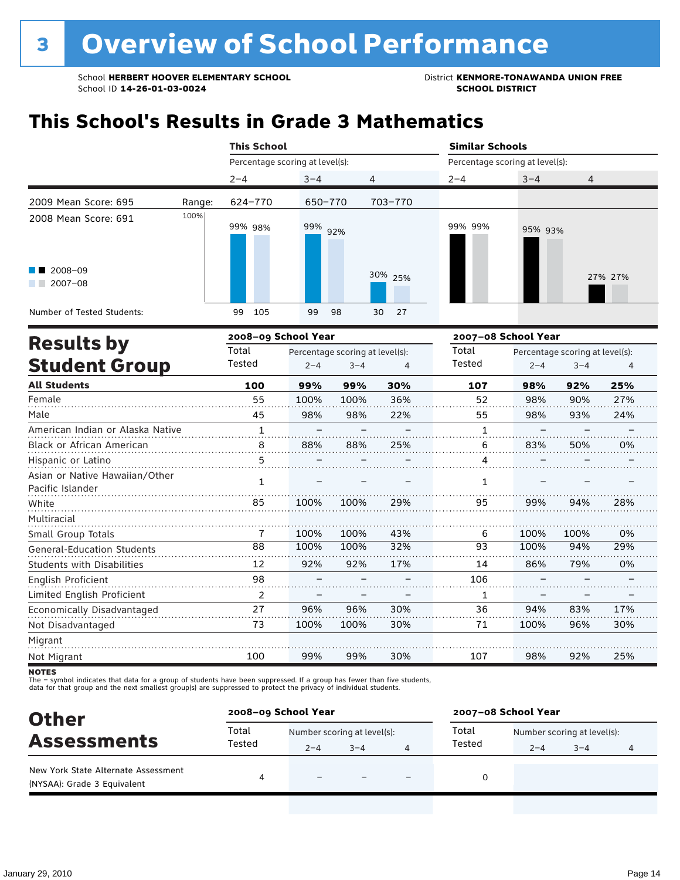School **HERBERT HOOVER ELEMENTARY SCHOOL** District **KENMORE-TONAWANDA UNION FREE**<br>School ID 14-26-01-03-0024 **District** School ID 14-26-01-03-0024 School ID **14-26-01-03-0024** 

### **This School's Results in Grade 3 Mathematics**

|                                               |        | <b>This School</b>              |          |          |         | <b>Similar Schools</b><br>Percentage scoring at level(s): |                |  |  |
|-----------------------------------------------|--------|---------------------------------|----------|----------|---------|-----------------------------------------------------------|----------------|--|--|
|                                               |        | Percentage scoring at level(s): |          |          |         |                                                           |                |  |  |
|                                               |        | $2 - 4$                         | $3 - 4$  | 4        | $2 - 4$ | $3 - 4$                                                   | $\overline{4}$ |  |  |
| 2009 Mean Score: 695                          | Range: | 624-770                         | 650-770  | 703-770  |         |                                                           |                |  |  |
| 2008 Mean Score: 691                          | 100%   | 99% 98%                         | 99% 92%  |          | 99% 99% | 95% 93%                                                   |                |  |  |
| $\blacksquare$ 2008-09<br>$2007 - 08$<br>a ka |        |                                 |          | 30% 25%  |         |                                                           | 27% 27%        |  |  |
| Number of Tested Students:                    |        | 105<br>99                       | 99<br>98 | 27<br>30 |         |                                                           |                |  |  |

| <b>Results by</b>                                  |               | 2008-09 School Year |                                 |     | 2007-08 School Year |         |                                 |     |
|----------------------------------------------------|---------------|---------------------|---------------------------------|-----|---------------------|---------|---------------------------------|-----|
|                                                    | Total         |                     | Percentage scoring at level(s): |     | Total               |         | Percentage scoring at level(s): |     |
| <b>Student Group</b>                               | Tested        | $2 - 4$             | $3 - 4$                         | 4   | Tested              | $2 - 4$ | $3 - 4$                         | 4   |
| <b>All Students</b>                                | 100           | 99%                 | 99%                             | 30% | 107                 | 98%     | 92%                             | 25% |
| Female                                             | 55            | 100%                | 100%                            | 36% | 52                  | 98%     | 90%                             | 27% |
| Male                                               | 45            | 98%                 | 98%                             | 22% | 55                  | 98%     | 93%                             | 24% |
| American Indian or Alaska Native                   | $\mathbf{1}$  |                     |                                 |     | 1                   |         |                                 |     |
| <b>Black or African American</b>                   | 8             | 88%                 | 88%                             | 25% | 6                   | 83%     | 50%                             | 0%  |
| Hispanic or Latino                                 | 5             |                     |                                 |     | 4                   |         |                                 |     |
| Asian or Native Hawaiian/Other<br>Pacific Islander | 1             |                     |                                 |     | 1                   |         |                                 |     |
| White                                              | 85            | 100%                | 100%                            | 29% | 95                  | 99%     | 94%                             | 28% |
| Multiracial                                        |               |                     |                                 |     |                     |         |                                 |     |
| Small Group Totals                                 | 7             | 100%                | 100%                            | 43% | 6                   | 100%    | 100%                            | 0%  |
| <b>General-Education Students</b>                  | 88            | 100%                | 100%                            | 32% | 93                  | 100%    | 94%                             | 29% |
| <b>Students with Disabilities</b>                  | 12            | 92%                 | 92%                             | 17% | 14                  | 86%     | 79%                             | 0%  |
| English Proficient                                 | 98            |                     |                                 |     | 106                 |         |                                 |     |
| Limited English Proficient                         | $\mathcal{P}$ |                     |                                 |     | 1                   |         |                                 |     |
| Economically Disadvantaged                         | 27            | 96%                 | 96%                             | 30% | 36                  | 94%     | 83%                             | 17% |
| Not Disadvantaged                                  | 73            | 100%                | 100%                            | 30% | 71                  | 100%    | 96%                             | 30% |
| Migrant                                            |               |                     |                                 |     |                     |         |                                 |     |
| Not Migrant                                        | 100           | 99%                 | 99%                             | 30% | 107                 | 98%     | 92%                             | 25% |

**NOTES** 

The – symbol indicates that data for a group of students have been suppressed. If a group has fewer than five students,<br>data for that group and the next smallest group(s) are suppressed to protect the privacy of individual

| <b>Other</b>                                                       | 2008-09 School Year |                             |         |  | 2007-08 School Year |                             |         |   |
|--------------------------------------------------------------------|---------------------|-----------------------------|---------|--|---------------------|-----------------------------|---------|---|
|                                                                    | Total               | Number scoring at level(s): |         |  | Total               | Number scoring at level(s): |         |   |
| <b>Assessments</b>                                                 | Tested              | $2 - 4$                     | $3 - 4$ |  | Tested              | $2 - 4$                     | $3 - 4$ | 4 |
| New York State Alternate Assessment<br>(NYSAA): Grade 3 Equivalent | 4                   |                             |         |  |                     |                             |         |   |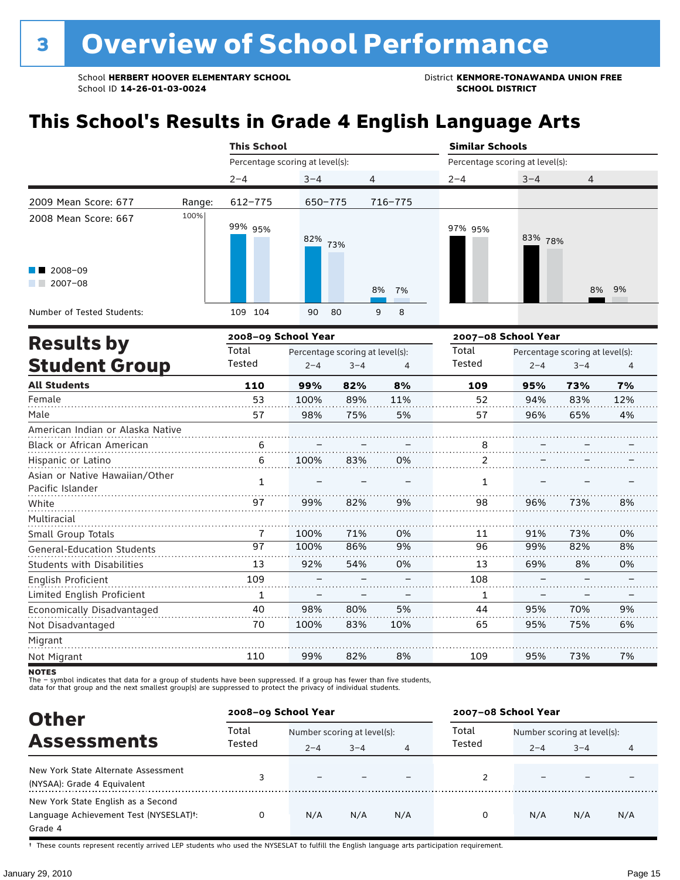### **This School's Results in Grade 4 English Language Arts**

|                                                    |        | <b>This School</b>                       |         |         |          |                                 | <b>Similar Schools</b> |                                 |     |  |
|----------------------------------------------------|--------|------------------------------------------|---------|---------|----------|---------------------------------|------------------------|---------------------------------|-----|--|
|                                                    |        | Percentage scoring at level(s):          |         |         |          | Percentage scoring at level(s): |                        |                                 |     |  |
|                                                    |        | $2 - 4$                                  | $3 - 4$ | 4       |          | $2 - 4$                         | $3 - 4$                | 4                               |     |  |
| 2009 Mean Score: 677                               | Range: | $612 - 775$                              | 650-775 |         | 716-775  |                                 |                        |                                 |     |  |
| 2008 Mean Score: 667                               | 100%   | 99% 95%                                  | 82%     | 73%     |          | 97% 95%                         | 83% 78%                |                                 |     |  |
| 2008-09<br>$\blacksquare$ 2007-08                  |        |                                          |         |         | 8%<br>7% |                                 |                        | 8%                              | 9%  |  |
| Number of Tested Students:                         |        | 109 104                                  | 90      | 80      | 8<br>9   |                                 |                        |                                 |     |  |
|                                                    |        | 2008-09 School Year                      |         |         |          |                                 | 2007-08 School Year    |                                 |     |  |
| <b>Results by</b>                                  |        | Total<br>Percentage scoring at level(s): |         |         |          | Total                           |                        | Percentage scoring at level(s): |     |  |
| <b>Student Group</b>                               |        | Tested                                   | $2 - 4$ | $3 - 4$ | 4        | Tested                          | $2 - 4$                | $3 - 4$                         | 4   |  |
| <b>All Students</b>                                |        | 110                                      | 99%     | 82%     | 8%       | 109                             | 95%                    | 73%                             | 7%  |  |
| Female                                             |        | 53                                       | 100%    | 89%     | 11%      | 52                              | 94%                    | 83%                             | 12% |  |
| Male                                               |        | 57                                       | 98%     | 75%     | 5%       | 57                              | 96%                    | 65%                             | 4%  |  |
| American Indian or Alaska Native                   |        |                                          |         |         |          |                                 |                        |                                 |     |  |
| Black or African American                          |        |                                          |         |         |          |                                 |                        |                                 |     |  |
| Hispanic or Latino                                 |        | 6                                        | 100%    | 83%     | 0%       | 2                               |                        |                                 |     |  |
| Asian or Native Hawaiian/Other<br>Pacific Islander |        | $\mathbf{1}$                             |         |         |          | 1                               |                        |                                 |     |  |
| White                                              |        | 97                                       | 99%     | 82%     | 9%       | 98                              | 96%                    | 73%                             | 8%  |  |
| Multiracial                                        |        |                                          |         |         |          |                                 |                        |                                 |     |  |
| Small Group Totals                                 |        | 7                                        | 100%    | 71%     | 0%       | 11                              | 91%                    | 73%                             | 0%  |  |
| <b>General-Education Students</b>                  |        | 97                                       | 100%    | 86%     | 9%       | 96                              | 99%                    | 82%                             | 8%  |  |
| Students with Disabilities                         |        | 13                                       | 92%     | 54%     | 0%       | 13                              | 69%                    | 8%                              | 0%  |  |

| lish Proficient<br>.       | ı na |      |     |     | 108   |     |     |         |
|----------------------------|------|------|-----|-----|-------|-----|-----|---------|
| Limited English Proficient |      |      |     |     |       |     |     |         |
| Economically Disadvantaged | 40   | 98%  | 80% | 5%  |       | 95% | 70% | 9%<br>. |
| Not Disadvantaged          |      | 100% | 83% | 10% |       | 95% | 75% | 6%      |
| Migrant                    |      |      |     |     |       |     |     |         |
| Not Migrant                |      | 99%  | 82% | 8%  | 1 N C | 95% | 73% | 7%      |

**NOTES** 

The – symbol indicates that data for a group of students have been suppressed. If a group has fewer than five students,<br>data for that group and the next smallest group(s) are suppressed to protect the privacy of individual

| <b>Other</b>                                                                                         |                 | 2008-09 School Year                    |         |     | 2007-08 School Year |                                        |         |     |
|------------------------------------------------------------------------------------------------------|-----------------|----------------------------------------|---------|-----|---------------------|----------------------------------------|---------|-----|
| <b>Assessments</b>                                                                                   | Total<br>Tested | Number scoring at level(s):<br>$2 - 4$ | $3 - 4$ | 4   | Total<br>Tested     | Number scoring at level(s):<br>$2 - 4$ | $3 - 4$ |     |
| New York State Alternate Assessment<br>(NYSAA): Grade 4 Equivalent                                   |                 |                                        |         |     |                     |                                        |         |     |
| New York State English as a Second<br>Language Achievement Test (NYSESLAT) <sup>+</sup> :<br>Grade 4 |                 | N/A                                    | N/A     | N/A | 0                   | N/A                                    | N/A     | N/A |

† These counts represent recently arrived LEP students who used the NYSESLAT to fulfill the English language arts participation requirement.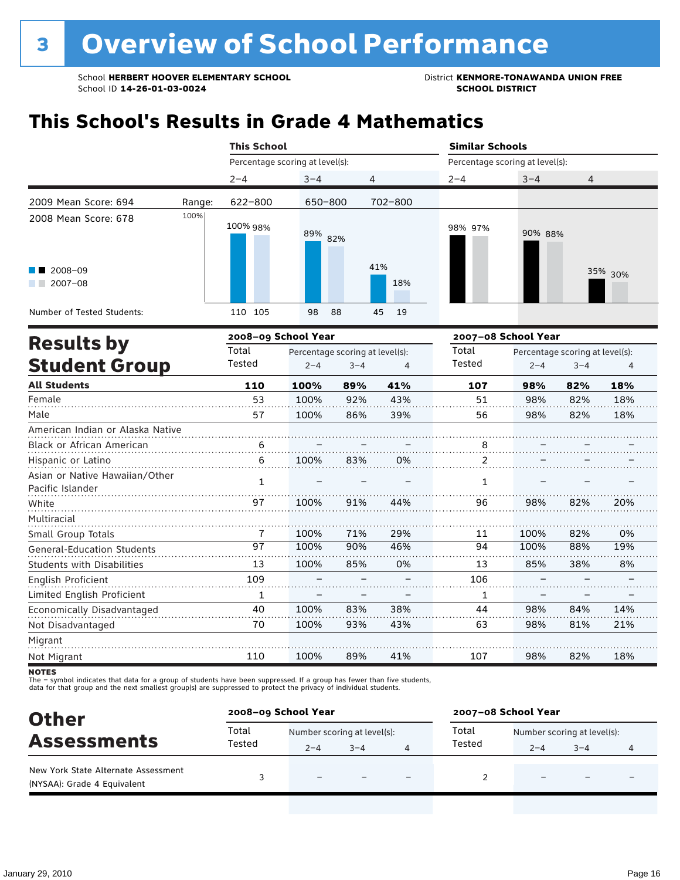### **This School's Results in Grade 4 Mathematics**

|                                                    |        | <b>This School</b>              |                                 |         |            | <b>Similar Schools</b>          |         |                                 |         |
|----------------------------------------------------|--------|---------------------------------|---------------------------------|---------|------------|---------------------------------|---------|---------------------------------|---------|
|                                                    |        | Percentage scoring at level(s): |                                 |         |            | Percentage scoring at level(s): |         |                                 |         |
|                                                    |        | $2 - 4$                         | $3 - 4$                         | 4       |            | $2 - 4$                         | $3 - 4$ | 4                               |         |
| 2009 Mean Score: 694                               | Range: | 622-800                         | 650-800                         |         | 702-800    |                                 |         |                                 |         |
| 2008 Mean Score: 678                               | 100%   | 100% 98%                        | 89% 82%                         |         |            | 98% 97%                         | 90% 88% |                                 |         |
| 2008-09<br>$2007 - 08$                             |        |                                 |                                 |         | 41%<br>18% |                                 |         |                                 | 35% 30% |
| Number of Tested Students:                         |        | 110 105                         | 98                              | 88      | 45<br>19   |                                 |         |                                 |         |
|                                                    |        | 2008-09 School Year             |                                 |         |            | 2007-08 School Year             |         |                                 |         |
| <b>Results by</b>                                  |        | Total                           | Percentage scoring at level(s): |         |            | Total                           |         | Percentage scoring at level(s): |         |
| <b>Student Group</b>                               |        | Tested                          | $2 - 4$                         | $3 - 4$ | 4          | Tested                          | $2 - 4$ | $3 - 4$                         | 4       |
| <b>All Students</b>                                |        | 110                             | 100%                            | 89%     | 41%        | 107                             | 98%     | 82%                             | 18%     |
| Female                                             |        | 53                              | 100%                            | 92%     | 43%        | 51                              | 98%     | 82%                             | 18%     |
| Male                                               |        | 57                              | 100%                            | 86%     | 39%        | 56                              | 98%     | 82%                             | 18%     |
| American Indian or Alaska Native                   |        |                                 |                                 |         |            |                                 |         |                                 |         |
| Black or African American                          |        | 6                               |                                 |         |            | $\frac{8}{3}$                   |         |                                 |         |
| Hispanic or Latino                                 |        | 6                               | 100%                            | 83%     | 0%         | $\overline{2}$                  |         |                                 |         |
| Asian or Native Hawaiian/Other<br>Pacific Islander |        | $\mathbf{1}$                    |                                 |         |            | 1                               |         |                                 |         |
| White                                              |        | 97                              | 100%                            | 91%     | 44%        | 96                              | 98%     | 82%                             | 20%     |
|                                                    |        |                                 |                                 |         |            |                                 |         |                                 |         |

| <b>Students with Disabilities</b> | 13  | 100% | 85% | 0%  |     | 85% | 38% | 8%  |
|-----------------------------------|-----|------|-----|-----|-----|-----|-----|-----|
| English Proficient                | 109 |      |     |     | 106 |     |     |     |
| Limited English Proficient        |     |      |     |     |     |     |     |     |
| Economically Disadvantaged        | 40  | 100% | 83% | 38% | 44  | 98% | 84% | 14% |
| Not Disadvantaged                 | 70  | 100% | 93% | 43% | 63  | 98% | 81% | 21% |
| Migrant                           |     |      |     |     |     |     |     |     |
| Not Migrant                       | 110 | 100% | 89% | 41% | 107 | 98% | 82% | 18% |

71% 90% 29% 46% 11 94

100% 100% 82% 88%

0% 19%

White Multiracial

Small Group Totals

General-Education Students

The – symbol indicates that data for a group of students have been suppressed. If a group has fewer than five students,<br>data for that group and the next smallest group(s) are suppressed to protect the privacy of individual

7 97 100% 100%

| <b>Other</b>                                                       | 2008-09 School Year                                                                          |                          | 2007-08 School Year |                          |  |         |                             |   |  |
|--------------------------------------------------------------------|----------------------------------------------------------------------------------------------|--------------------------|---------------------|--------------------------|--|---------|-----------------------------|---|--|
|                                                                    | Total<br>Total<br>Number scoring at level(s):<br>Tested<br>Tested<br>$3 - 4$<br>$2 - 4$<br>4 |                          |                     |                          |  |         | Number scoring at level(s): |   |  |
| <b>Assessments</b>                                                 |                                                                                              |                          |                     |                          |  | $2 - 4$ | $3 - 4$                     | 4 |  |
| New York State Alternate Assessment<br>(NYSAA): Grade 4 Equivalent |                                                                                              | $\overline{\phantom{0}}$ |                     | $\overline{\phantom{0}}$ |  |         | -                           |   |  |

**NOTES**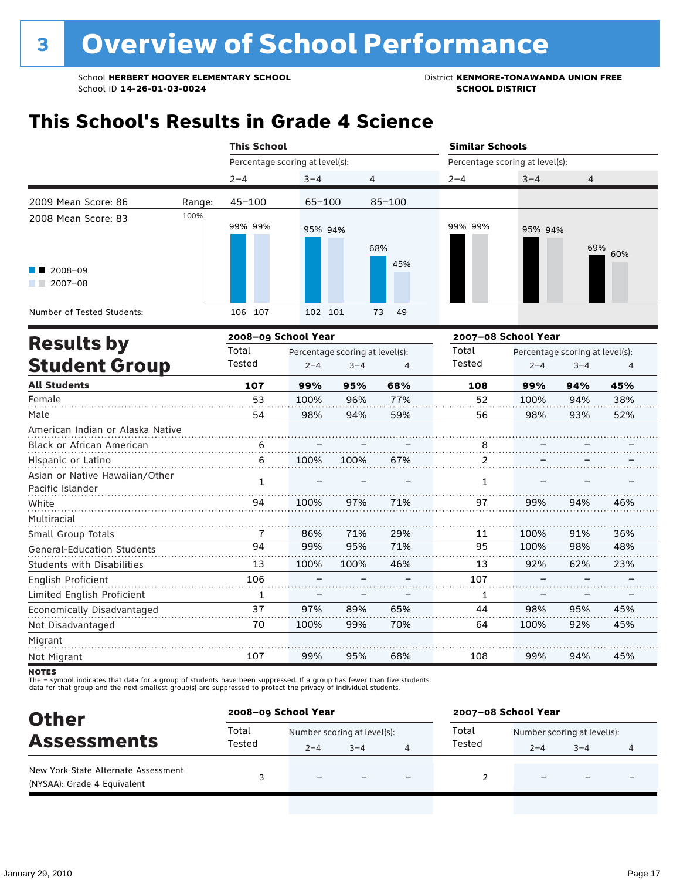### **This School's Results in Grade 4 Science**

|                                   |        |                                 | <b>This School</b>              |         |            |                                 | <b>Similar Schools</b> |                                 |     |  |  |
|-----------------------------------|--------|---------------------------------|---------------------------------|---------|------------|---------------------------------|------------------------|---------------------------------|-----|--|--|
|                                   |        | Percentage scoring at level(s): |                                 |         |            | Percentage scoring at level(s): |                        |                                 |     |  |  |
|                                   |        | $2 - 4$                         | $3 - 4$                         |         | 4          | $2 - 4$                         | $3 - 4$                | 4                               |     |  |  |
| 2009 Mean Score: 86               | Range: | $45 - 100$                      | $65 - 100$                      |         | $85 - 100$ |                                 |                        |                                 |     |  |  |
| 2008 Mean Score: 83               | 100%   |                                 |                                 |         |            |                                 |                        |                                 |     |  |  |
|                                   |        | 99% 99%                         | 95% 94%                         |         |            | 99% 99%                         | 95% 94%                |                                 |     |  |  |
|                                   |        |                                 |                                 |         | 68%        |                                 |                        | 69%                             | 60% |  |  |
|                                   |        |                                 |                                 |         | 45%        |                                 |                        |                                 |     |  |  |
| 2008-09<br>$12007 - 08$           |        |                                 |                                 |         |            |                                 |                        |                                 |     |  |  |
|                                   |        |                                 |                                 |         |            |                                 |                        |                                 |     |  |  |
| Number of Tested Students:        |        | 106 107                         | 102 101                         |         | 49<br>73   |                                 |                        |                                 |     |  |  |
|                                   |        | 2008-09 School Year             |                                 |         |            |                                 | 2007-08 School Year    |                                 |     |  |  |
| <b>Results by</b>                 |        | Total                           | Percentage scoring at level(s): |         |            | Total                           |                        | Percentage scoring at level(s): |     |  |  |
| <b>Student Group</b>              |        | Tested                          | $2 - 4$                         | $3 - 4$ | 4          | Tested                          | $2 - 4$                | $3 - 4$                         | 4   |  |  |
| <b>All Students</b>               |        | 107                             | 99%                             | 95%     | 68%        | 108                             | 99%                    | 94%                             | 45% |  |  |
| Female                            |        | 53                              | 100%                            | 96%     | 77%        | 52                              | 100%                   | 94%                             | 38% |  |  |
| Male                              |        | 54                              | 98%                             | 94%     | 59%        | 56                              | 98%                    | 93%                             | 52% |  |  |
| American Indian or Alaska Native  |        |                                 |                                 |         |            |                                 |                        |                                 |     |  |  |
| Black or African American         |        | 6                               |                                 |         |            | 8                               |                        |                                 |     |  |  |
| Hispanic or Latino                |        | 6                               | 100%                            | 100%    | 67%        | 2                               |                        |                                 |     |  |  |
| Asian or Native Hawaiian/Other    |        | $\mathbf{1}$                    |                                 |         |            | $\mathbf{1}$                    |                        |                                 |     |  |  |
| Pacific Islander                  |        |                                 |                                 |         |            |                                 |                        |                                 |     |  |  |
| White                             |        | 94                              | 100%                            | 97%     | 71%        | 97                              | 99%                    | 94%                             | 46% |  |  |
| Multiracial                       |        |                                 |                                 |         |            |                                 |                        |                                 |     |  |  |
| Small Group Totals                |        | $\mathbf{7}$                    | 86%                             | 71%     | 29%        | 11                              | 100%                   | 91%                             | 36% |  |  |
| <b>General-Education Students</b> |        | $\overline{94}$                 | 99%                             | 95%     | 71%        | 95                              | 100%                   | 98%                             | 48% |  |  |
| <b>Students with Disabilities</b> |        | 13                              | 100%                            | 100%    | 46%        | 13                              | 92%                    | 62%                             | 23% |  |  |
| English Proficient                |        | 106                             |                                 |         |            | 107                             |                        |                                 |     |  |  |
| Limited English Proficient        |        | 1                               |                                 |         |            | 1                               |                        |                                 |     |  |  |
| Economically Disadvantaged        |        | 37                              | 97%                             | 89%     | 65%        | 44                              | 98%                    | 95%                             | 45% |  |  |
| Not Disadvantaged                 |        | 70                              | 100%                            | 99%     | 70%        | 64                              | 100%                   | 92%                             | 45% |  |  |

**NOTES** 

Migrant Not Migrant

The – symbol indicates that data for a group of students have been suppressed. If a group has fewer than five students,<br>data for that group and the next smallest group(s) are suppressed to protect the privacy of individual

107

| <b>Other</b>                                                       |        | 2008-09 School Year<br>2007-08 School Year |         |                          |        |                             |                          |  |
|--------------------------------------------------------------------|--------|--------------------------------------------|---------|--------------------------|--------|-----------------------------|--------------------------|--|
|                                                                    | Total  | Number scoring at level(s):                |         |                          | Total  | Number scoring at level(s): |                          |  |
| <b>Assessments</b>                                                 | Tested | $2 - 4$                                    | $3 - 4$ | 4                        | Tested | $2 - 4$                     | $3 - 4$                  |  |
| New York State Alternate Assessment<br>(NYSAA): Grade 4 Equivalent |        | $\overline{\phantom{0}}$                   |         | $\overline{\phantom{0}}$ |        | $\overline{\phantom{0}}$    | $\overline{\phantom{0}}$ |  |

95%

68%

108

. . . . . . . . . . . . .

99%

94%

45%

99%

. . . . . . . . . . . . .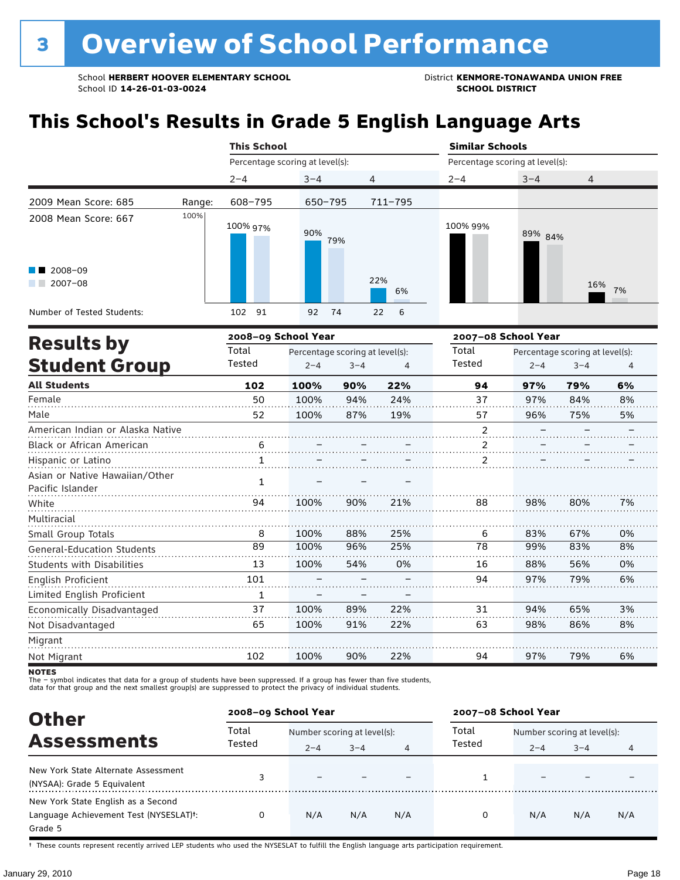### **This School's Results in Grade 5 English Language Arts**

|                                                             |        | <b>This School</b>              |                                                       |                                  | <b>Similar Schools</b> |                                                       |                |
|-------------------------------------------------------------|--------|---------------------------------|-------------------------------------------------------|----------------------------------|------------------------|-------------------------------------------------------|----------------|
|                                                             |        | Percentage scoring at level(s): |                                                       |                                  |                        | Percentage scoring at level(s):                       |                |
|                                                             |        | $2 - 4$                         | $3 - 4$                                               | 4                                | $2 - 4$                | $3 - 4$<br>4                                          |                |
| 2009 Mean Score: 685                                        | Range: | 608-795                         | 650-795                                               | 711-795                          |                        |                                                       |                |
| 2008 Mean Score: 667<br>2008-09<br>a shekara<br>$2007 - 08$ | 100%   | 100% 97%                        | 90%<br>79%                                            | 22%<br>6%                        | 100% 99%               | 89% 84%<br>16%<br>7%                                  |                |
| Number of Tested Students:                                  |        | 91<br>102                       | 92<br>74                                              | $6^{\circ}$<br>$22 \overline{ }$ |                        |                                                       |                |
|                                                             |        | 2008-09 School Year             |                                                       |                                  | 2007-08 School Year    |                                                       |                |
| <b>Results by</b><br><b>Student Group</b>                   |        | Total<br>Tested                 | Percentage scoring at level(s):<br>$2 - 4$<br>$3 - 4$ | 4                                | Total<br>Tested        | Percentage scoring at level(s):<br>$2 - 4$<br>$3 - 4$ | $\overline{4}$ |

| <b>All Students</b>               | 102 | 100% | 90% | 22% | 94             | 97% | 79% | 6% |
|-----------------------------------|-----|------|-----|-----|----------------|-----|-----|----|
| Female                            | 50  | 100% | 94% | 24% | 37             | 97% | 84% | 8% |
| Male                              | 52  | 100% | 87% | 19% | 57             | 96% | 75% | 5% |
| American Indian or Alaska Native  |     |      |     |     | $\mathfrak{p}$ |     |     |    |
| Black or African American         | 6   |      |     |     |                |     |     |    |
| Hispanic or Latino                |     |      |     |     |                |     |     |    |
| Asian or Native Hawaiian/Other    | 1   |      |     |     |                |     |     |    |
| Pacific Islander                  |     |      |     |     |                |     |     |    |
| White                             | 94  | 100% | 90% | 21% | 88             | 98% | 80% | 7% |
| Multiracial                       |     |      |     |     |                |     |     |    |
| Small Group Totals                | 8   | 100% | 88% | 25% | 6              | 83% | 67% | 0% |
| <b>General-Education Students</b> | 89  | 100% | 96% | 25% | 78             | 99% | 83% | 8% |
| <b>Students with Disabilities</b> | 13  | 100% | 54% | 0%  | 16             | 88% | 56% | 0% |
| English Proficient                | 101 |      |     |     | 94             | 97% | 79% | 6% |
| Limited English Proficient        | 1   |      |     |     |                |     |     |    |
| Economically Disadvantaged        | 37  | 100% | 89% | 22% | 31             | 94% | 65% | 3% |
| Not Disadvantaged                 | 65  | 100% | 91% | 22% | 63             | 98% | 86% | 8% |
| Migrant                           |     |      |     |     |                |     |     |    |
| Not Migrant                       | 102 | 100% | 90% | 22% | 94             | 97% | 79% | 6% |

**NOTES** 

The – symbol indicates that data for a group of students have been suppressed. If a group has fewer than five students,<br>data for that group and the next smallest group(s) are suppressed to protect the privacy of individual

| <b>Other</b>                                                                            | 2008-09 School Year |                                        |         |     | 2007-08 School Year |                                                   |     |     |
|-----------------------------------------------------------------------------------------|---------------------|----------------------------------------|---------|-----|---------------------|---------------------------------------------------|-----|-----|
| <b>Assessments</b>                                                                      | Total<br>Tested     | Number scoring at level(s):<br>$2 - 4$ | $3 - 4$ | 4   | Total<br>Tested     | Number scoring at level(s):<br>$3 - 4$<br>$2 - 4$ |     | 4   |
| New York State Alternate Assessment<br>(NYSAA): Grade 5 Equivalent                      |                     |                                        |         |     |                     |                                                   |     |     |
| New York State English as a Second<br>Language Achievement Test (NYSESLAT)t:<br>Grade 5 |                     | N/A                                    | N/A     | N/A | O                   | N/A                                               | N/A | N/A |

† These counts represent recently arrived LEP students who used the NYSESLAT to fulfill the English language arts participation requirement.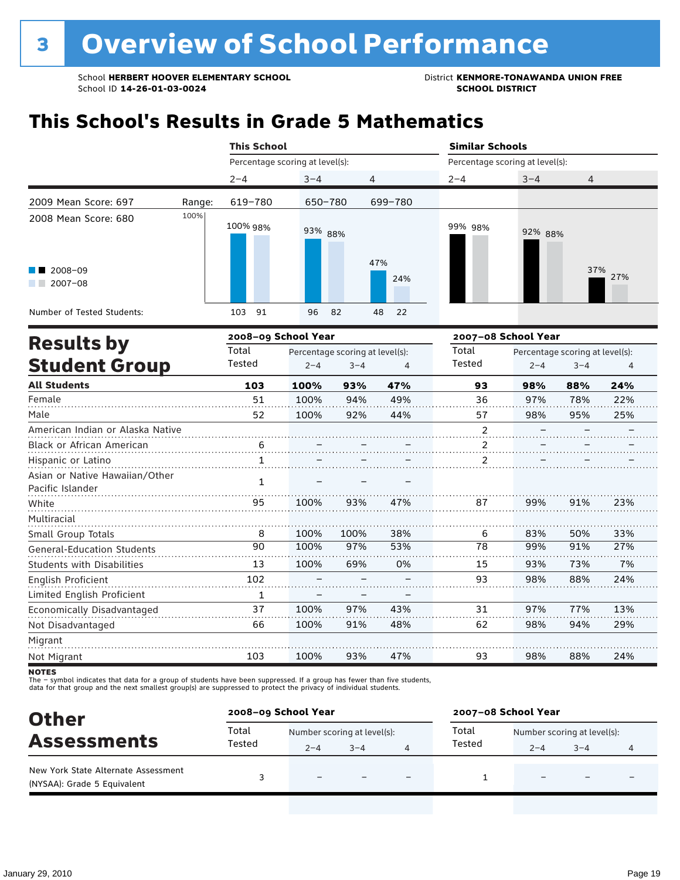### **This School's Results in Grade 5 Mathematics**

|                                                                          |        | <b>This School</b>              |          |                | <b>Similar Schools</b>          |         |            |
|--------------------------------------------------------------------------|--------|---------------------------------|----------|----------------|---------------------------------|---------|------------|
|                                                                          |        | Percentage scoring at level(s): |          |                | Percentage scoring at level(s): |         |            |
|                                                                          |        | $2 - 4$                         | $3 - 4$  | $\overline{4}$ | $2 - 4$                         | $3 - 4$ | 4          |
| 2009 Mean Score: 697                                                     | Range: | 619-780                         | 650-780  | 699-780        |                                 |         |            |
| 2008 Mean Score: 680<br>$\blacksquare$ 2008-09<br>2007-08<br>a kacamatan | 100%   | 100% 98%                        | 93% 88%  | 47%<br>24%     | 99% 98%                         | 92% 88% | 37%<br>27% |
| Number of Tested Students:                                               |        | 91<br>103                       | 96<br>82 | 48<br>22       |                                 |         |            |

|                                                    |        | 2008-09 School Year |                                 |                          | 2007-08 School Year |         |                                 |     |
|----------------------------------------------------|--------|---------------------|---------------------------------|--------------------------|---------------------|---------|---------------------------------|-----|
| <b>Results by</b>                                  | Total  |                     | Percentage scoring at level(s): |                          | Total               |         | Percentage scoring at level(s): |     |
| <b>Student Group</b>                               | Tested | $2 - 4$             | $3 - 4$                         | 4                        | Tested              | $2 - 4$ | $3 - 4$                         | 4   |
| <b>All Students</b>                                | 103    | 100%                | 93%                             | 47%                      | 93                  | 98%     | 88%                             | 24% |
| Female                                             | 51     | 100%                | 94%                             | 49%                      | 36                  | 97%     | 78%                             | 22% |
| Male                                               | 52     | 100%                | 92%                             | 44%                      | 57                  | 98%     | 95%                             | 25% |
| American Indian or Alaska Native                   |        |                     |                                 |                          | $\overline{2}$      |         |                                 |     |
| <b>Black or African American</b>                   | 6      |                     |                                 |                          | 2                   |         |                                 |     |
| Hispanic or Latino                                 | 1      |                     |                                 |                          | 2                   |         |                                 |     |
| Asian or Native Hawaiian/Other<br>Pacific Islander | 1      |                     |                                 |                          |                     |         |                                 |     |
| White                                              | 95     | 100%                | 93%                             | 47%                      | 87                  | 99%     | 91%                             | 23% |
| Multiracial                                        |        |                     |                                 |                          |                     |         |                                 |     |
| Small Group Totals                                 | 8      | 100%                | 100%                            | 38%                      | 6                   | 83%     | 50%                             | 33% |
| <b>General-Education Students</b>                  | 90     | 100%                | 97%                             | 53%                      | 78                  | 99%     | 91%                             | 27% |
| <b>Students with Disabilities</b>                  | 13     | 100%                | 69%                             | 0%                       | 15                  | 93%     | 73%                             | 7%  |
| English Proficient                                 | 102    |                     |                                 |                          | 93                  | 98%     | 88%                             | 24% |
| Limited English Proficient                         | 1      |                     |                                 | $\overline{\phantom{0}}$ |                     |         |                                 |     |
| Economically Disadvantaged                         | 37     | 100%                | 97%                             | 43%                      | 31                  | 97%     | 77%                             | 13% |
| Not Disadvantaged                                  | 66     | 100%                | 91%                             | 48%                      | 62                  | 98%     | 94%                             | 29% |
| Migrant                                            |        |                     |                                 |                          |                     |         |                                 |     |
| Not Migrant                                        | 103    | 100%                | 93%                             | 47%                      | 93                  | 98%     | 88%                             | 24% |

**NOTES** 

The – symbol indicates that data for a group of students have been suppressed. If a group has fewer than five students,<br>data for that group and the next smallest group(s) are suppressed to protect the privacy of individual

| <b>Other</b>                                                       |        | 2008-09 School Year         |         |  | 2007-08 School Year |                             |         |  |
|--------------------------------------------------------------------|--------|-----------------------------|---------|--|---------------------|-----------------------------|---------|--|
| <b>Assessments</b>                                                 | Total  | Number scoring at level(s): |         |  | Total               | Number scoring at level(s): |         |  |
|                                                                    | Tested | $2 - 4$                     | $3 - 4$ |  | Tested              | $2 - 4$                     | $3 - 4$ |  |
| New York State Alternate Assessment<br>(NYSAA): Grade 5 Equivalent |        |                             |         |  |                     |                             |         |  |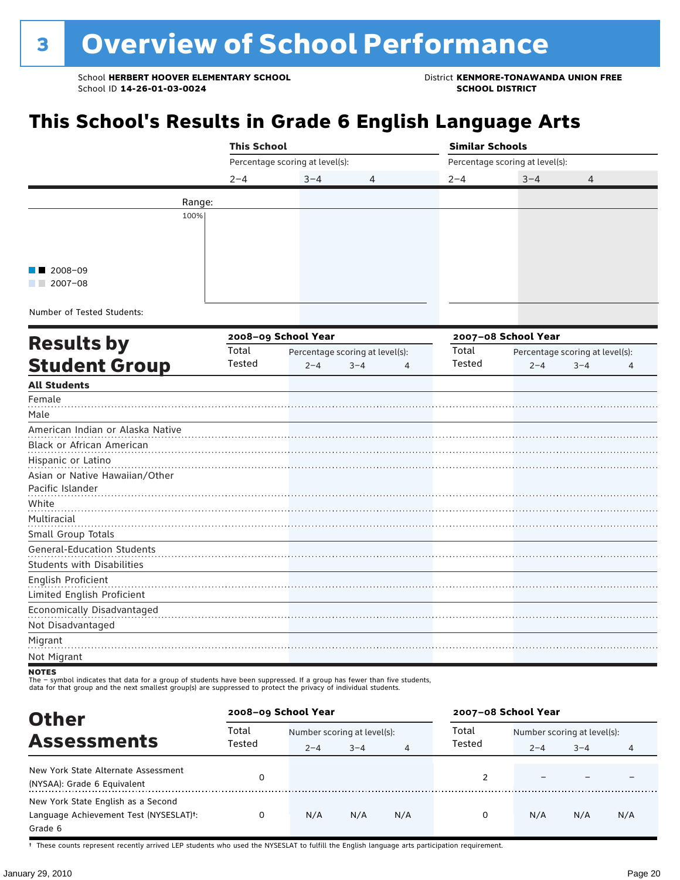### **This School's Results in Grade 6 English Language Arts**

|                                   |                     | <b>This School</b>              |  |                                 |         |                | <b>Similar Schools</b><br>Percentage scoring at level(s): |                                 |         |   |  |
|-----------------------------------|---------------------|---------------------------------|--|---------------------------------|---------|----------------|-----------------------------------------------------------|---------------------------------|---------|---|--|
|                                   |                     | Percentage scoring at level(s): |  |                                 |         |                |                                                           |                                 |         |   |  |
|                                   |                     | $2 - 4$                         |  | $3 - 4$                         | 4       |                | $2 - 4$                                                   | $3 - 4$                         | 4       |   |  |
|                                   | Range:              |                                 |  |                                 |         |                |                                                           |                                 |         |   |  |
|                                   | 100%                |                                 |  |                                 |         |                |                                                           |                                 |         |   |  |
|                                   |                     |                                 |  |                                 |         |                |                                                           |                                 |         |   |  |
|                                   |                     |                                 |  |                                 |         |                |                                                           |                                 |         |   |  |
| 2008-09                           |                     |                                 |  |                                 |         |                |                                                           |                                 |         |   |  |
| $2007 - 08$                       |                     |                                 |  |                                 |         |                |                                                           |                                 |         |   |  |
|                                   |                     |                                 |  |                                 |         |                |                                                           |                                 |         |   |  |
| Number of Tested Students:        |                     |                                 |  |                                 |         |                |                                                           |                                 |         |   |  |
|                                   | 2008-09 School Year |                                 |  |                                 |         |                | 2007-08 School Year                                       |                                 |         |   |  |
| <b>Results by</b>                 |                     | Total                           |  | Percentage scoring at level(s): |         |                | Total                                                     | Percentage scoring at level(s): |         |   |  |
| <b>Student Group</b>              |                     | Tested                          |  | $2 - 4$                         | $3 - 4$ | $\overline{4}$ | Tested                                                    | $2 - 4$                         | $3 - 4$ | 4 |  |
| <b>All Students</b>               |                     |                                 |  |                                 |         |                |                                                           |                                 |         |   |  |
| Female                            |                     |                                 |  |                                 |         |                |                                                           |                                 |         |   |  |
| Male                              |                     |                                 |  |                                 |         |                |                                                           |                                 |         |   |  |
| American Indian or Alaska Native  |                     |                                 |  |                                 |         |                |                                                           |                                 |         |   |  |
| Black or African American         |                     |                                 |  |                                 |         |                |                                                           |                                 |         |   |  |
| Hispanic or Latino                |                     |                                 |  |                                 |         |                |                                                           |                                 |         |   |  |
| Asian or Native Hawaiian/Other    |                     |                                 |  |                                 |         |                |                                                           |                                 |         |   |  |
| Pacific Islander                  |                     |                                 |  |                                 |         |                |                                                           |                                 |         |   |  |
| White                             |                     |                                 |  |                                 |         |                |                                                           |                                 |         |   |  |
| Multiracial<br>Small Group Totals |                     |                                 |  |                                 |         |                |                                                           |                                 |         |   |  |
| <b>General-Education Students</b> |                     |                                 |  |                                 |         |                |                                                           |                                 |         |   |  |
| <b>Students with Disabilities</b> |                     |                                 |  |                                 |         |                |                                                           |                                 |         |   |  |
| English Proficient                |                     |                                 |  |                                 |         |                |                                                           |                                 |         |   |  |
| Limited English Proficient        |                     |                                 |  |                                 |         |                |                                                           |                                 |         |   |  |
| Economically Disadvantaged        |                     |                                 |  |                                 |         |                |                                                           |                                 |         |   |  |
| Not Disadvantaged                 |                     |                                 |  |                                 |         |                |                                                           |                                 |         |   |  |
| Migrant                           |                     |                                 |  |                                 |         |                |                                                           |                                 |         |   |  |
| Not Migrant                       |                     |                                 |  |                                 |         |                |                                                           |                                 |         |   |  |

#### **NOTES**

The – symbol indicates that data for a group of students have been suppressed. If a group has fewer than five students,<br>data for that group and the next smallest group(s) are suppressed to protect the privacy of individual

**Other Assessments**<br>Assessments Tested  $\frac{1}{2-4}$  and  $\frac{1}{2-4}$  and  $\frac{1}{4}$  Tested  $\frac{1}{2-4}$  and  $\frac{1}{2-4}$  and  $\frac{1}{2-4}$  and  $\frac{1}{2-4}$  and  $\frac{1}{2-4}$  and  $\frac{1}{2-4}$  and  $\frac{1}{2-4}$  and  $\frac{1}{2-4}$  and  $\frac{1}{2-4}$  $2-4$   $3-4$   $4$   $1 \text{e} \cdot \text{e} \cdot \text{e} \cdot \text{e} \cdot \text{e} \cdot \text{e} \cdot \text{e} \cdot \text{e} \cdot \text{e} \cdot \text{e} \cdot \text{e} \cdot \text{e} \cdot \text{e} \cdot \text{e} \cdot \text{e} \cdot \text{e} \cdot \text{e} \cdot \text{e} \cdot \text{e} \cdot \text{e} \cdot \text{e} \cdot \text{e} \cdot \text{e} \cdot \text{e} \cdot \text{e} \cdot \text{e} \cdot \text{e} \cdot \text{e} \cdot \text{e} \cdot$ **2008–09 School Year 2007–08 School Year** Total Tested Total Tested New York State Alternate Assessment (NYSAA): Grade 6 Equivalent <sup>0</sup> <sup>2</sup> – – – New York State English as a Second Language Achievement Test (NYSESLAT)†: Grade 6 0 N/A N/A N/A 0 N/A N/A N/A

† These counts represent recently arrived LEP students who used the NYSESLAT to fulfill the English language arts participation requirement.